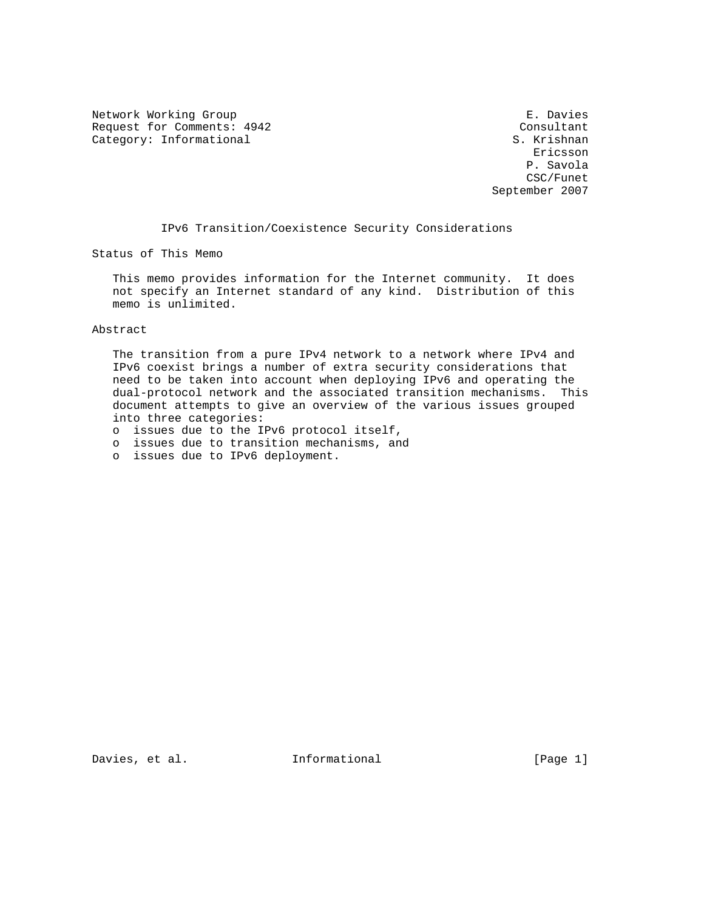Network Working Group **E. Davies** Request for Comments: 4942 Consultant<br>
Category: Informational Category: Informational Category: Informational S. Krishnan S. Krishnan S. Krishnan S. Krishnan S. Krishnan S. Krishnan S. Krishnan S. Krishnan S. Krishnan S. Krishnan S. Krishnan S. Krishnan S. Krishnan S. Krishnan S. Krishnan S. Krishnan S. Kri

eric and the contract of the contract of the contract of the contract of the contract of the contract of the contract of the contract of the contract of the contract of the contract of the contract of the contract of the c P. Savola CSC/Funet September 2007

IPv6 Transition/Coexistence Security Considerations

Status of This Memo

 This memo provides information for the Internet community. It does not specify an Internet standard of any kind. Distribution of this memo is unlimited.

## Abstract

 The transition from a pure IPv4 network to a network where IPv4 and IPv6 coexist brings a number of extra security considerations that need to be taken into account when deploying IPv6 and operating the dual-protocol network and the associated transition mechanisms. This document attempts to give an overview of the various issues grouped into three categories:

- o issues due to the IPv6 protocol itself,
- o issues due to transition mechanisms, and
- o issues due to IPv6 deployment.

Davies, et al. **Informational** [Page 1]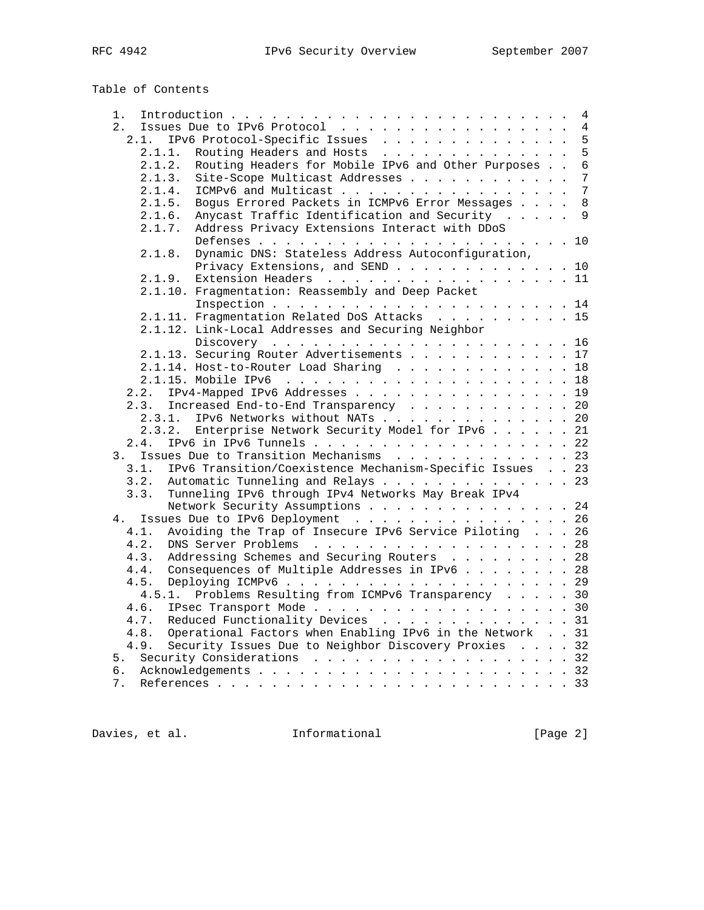Table of Contents

| 1.                                                               |  |  |
|------------------------------------------------------------------|--|--|
| Issues Due to IPv6 Protocol 4<br>2.                              |  |  |
| IPv6 Protocol-Specific Issues 5<br>2.1.                          |  |  |
| Routing Headers and Hosts 5<br>2.1.1.                            |  |  |
| Routing Headers for Mobile IPv6 and Other Purposes 6<br>2.1.2.   |  |  |
| Site-Scope Multicast Addresses 7<br>2.1.3.                       |  |  |
| ICMPv6 and Multicast 7<br>2.1.4.                                 |  |  |
| Bogus Errored Packets in ICMPv6 Error Messages 8<br>2.1.5.       |  |  |
| Anycast Traffic Identification and Security 9<br>2.1.6.          |  |  |
| 2.1.7.<br>Address Privacy Extensions Interact with DDoS          |  |  |
| Dynamic DNS: Stateless Address Autoconfiguration,<br>2.1.8.      |  |  |
| Privacy Extensions, and SEND 10                                  |  |  |
| Extension Headers 11<br>2.1.9.                                   |  |  |
| 2.1.10. Fragmentation: Reassembly and Deep Packet                |  |  |
|                                                                  |  |  |
| 2.1.11. Fragmentation Related DoS Attacks 15                     |  |  |
| 2.1.12. Link-Local Addresses and Securing Neighbor               |  |  |
|                                                                  |  |  |
| 2.1.13. Securing Router Advertisements 17                        |  |  |
| 2.1.14. Host-to-Router Load Sharing 18                           |  |  |
|                                                                  |  |  |
| IPv4-Mapped IPv6 Addresses 19<br>2.2.                            |  |  |
| Increased End-to-End Transparency 20<br>2.3.                     |  |  |
| IPv6 Networks without NATs 20<br>2.3.1.                          |  |  |
| 2.3.2. Enterprise Network Security Model for IPv6 21             |  |  |
| IPv6 in IPv6 Tunnels 22<br>2.4.                                  |  |  |
| 3. Issues Due to Transition Mechanisms 23                        |  |  |
| IPv6 Transition/Coexistence Mechanism-Specific Issues 23<br>3.1. |  |  |
| Automatic Tunneling and Relays 23<br>3.2.                        |  |  |
| Tunneling IPv6 through IPv4 Networks May Break IPv4<br>3.3.      |  |  |
| Network Security Assumptions 24                                  |  |  |
| 4. Issues Due to IPv6 Deployment 26                              |  |  |
| Avoiding the Trap of Insecure IPv6 Service Piloting 26<br>4.1.   |  |  |
| DNS Server Problems 28<br>4.2.                                   |  |  |
| Addressing Schemes and Securing Routers 28<br>4.3.               |  |  |
| Consequences of Multiple Addresses in IPv6 28<br>4.4.            |  |  |
| 4.5.                                                             |  |  |
| 4.5.1. Problems Resulting from ICMPv6 Transparency 30            |  |  |
| IPsec Transport Mode 30<br>4.6.                                  |  |  |
| Reduced Functionality Devices 31<br>4.7.                         |  |  |
| Operational Factors when Enabling IPv6 in the Network 31<br>4.8. |  |  |
| Security Issues Due to Neighbor Discovery Proxies 32<br>4.9.     |  |  |
| 5. Security Considerations 32                                    |  |  |
|                                                                  |  |  |
| 7.                                                               |  |  |

Davies, et al. 1nformational 1992 [Page 2]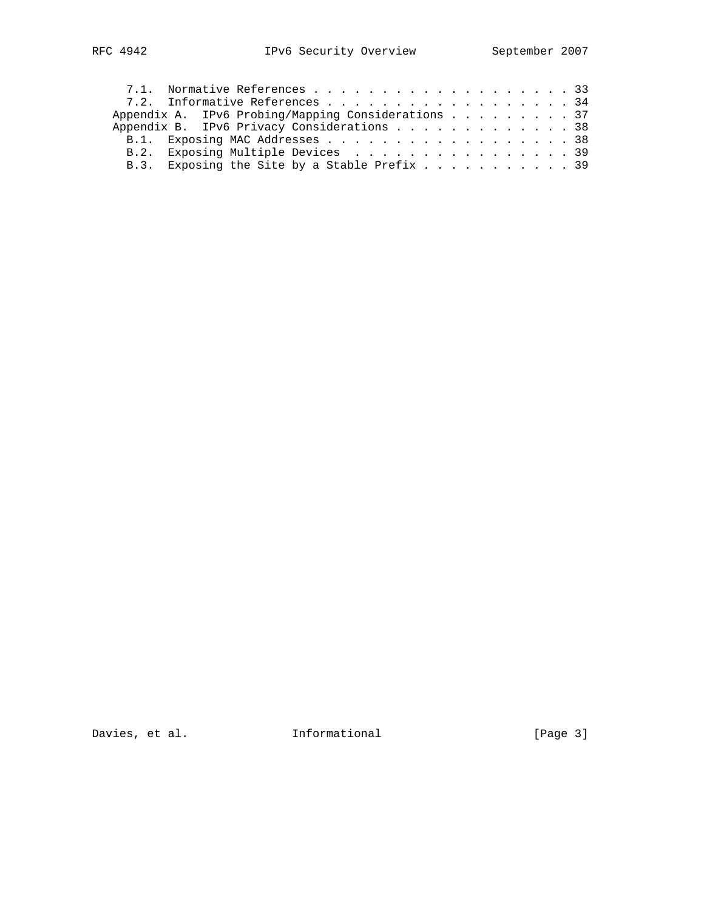|  | 7.1. Normative References 33                       |  |  |  |  |  |
|--|----------------------------------------------------|--|--|--|--|--|
|  | 7.2. Informative References 34                     |  |  |  |  |  |
|  | Appendix A. IPv6 Probing/Mapping Considerations 37 |  |  |  |  |  |
|  | Appendix B. IPv6 Privacy Considerations 38         |  |  |  |  |  |
|  |                                                    |  |  |  |  |  |
|  | B.2. Exposing Multiple Devices 39                  |  |  |  |  |  |
|  | B.3. Exposing the Site by a Stable Prefix 39       |  |  |  |  |  |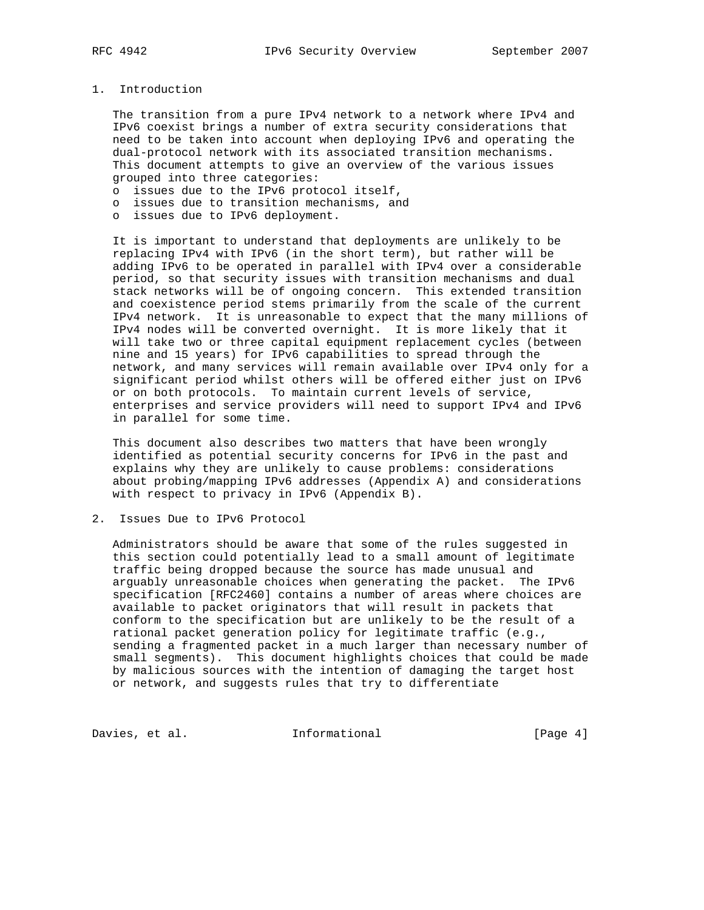## 1. Introduction

 The transition from a pure IPv4 network to a network where IPv4 and IPv6 coexist brings a number of extra security considerations that need to be taken into account when deploying IPv6 and operating the dual-protocol network with its associated transition mechanisms. This document attempts to give an overview of the various issues grouped into three categories:

- o issues due to the IPv6 protocol itself,
- o issues due to transition mechanisms, and
- o issues due to IPv6 deployment.

 It is important to understand that deployments are unlikely to be replacing IPv4 with IPv6 (in the short term), but rather will be adding IPv6 to be operated in parallel with IPv4 over a considerable period, so that security issues with transition mechanisms and dual stack networks will be of ongoing concern. This extended transition and coexistence period stems primarily from the scale of the current IPv4 network. It is unreasonable to expect that the many millions of IPv4 nodes will be converted overnight. It is more likely that it will take two or three capital equipment replacement cycles (between nine and 15 years) for IPv6 capabilities to spread through the network, and many services will remain available over IPv4 only for a significant period whilst others will be offered either just on IPv6 or on both protocols. To maintain current levels of service, enterprises and service providers will need to support IPv4 and IPv6 in parallel for some time.

 This document also describes two matters that have been wrongly identified as potential security concerns for IPv6 in the past and explains why they are unlikely to cause problems: considerations about probing/mapping IPv6 addresses (Appendix A) and considerations with respect to privacy in IPv6 (Appendix B).

2. Issues Due to IPv6 Protocol

 Administrators should be aware that some of the rules suggested in this section could potentially lead to a small amount of legitimate traffic being dropped because the source has made unusual and arguably unreasonable choices when generating the packet. The IPv6 specification [RFC2460] contains a number of areas where choices are available to packet originators that will result in packets that conform to the specification but are unlikely to be the result of a rational packet generation policy for legitimate traffic (e.g., sending a fragmented packet in a much larger than necessary number of small segments). This document highlights choices that could be made by malicious sources with the intention of damaging the target host or network, and suggests rules that try to differentiate

Davies, et al. 1nformational 1999 [Page 4]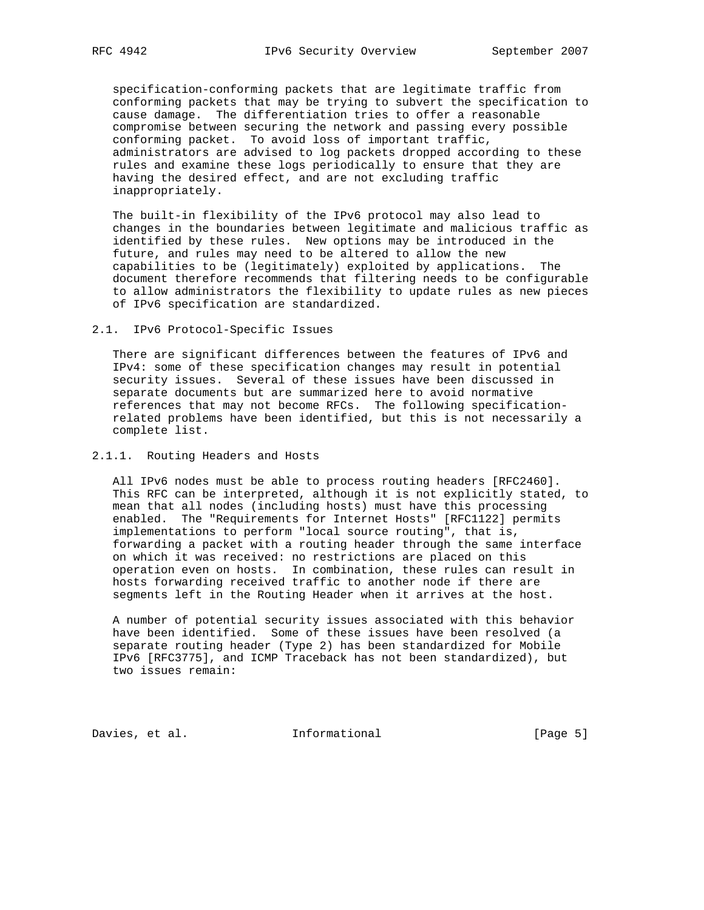specification-conforming packets that are legitimate traffic from conforming packets that may be trying to subvert the specification to cause damage. The differentiation tries to offer a reasonable compromise between securing the network and passing every possible conforming packet. To avoid loss of important traffic, administrators are advised to log packets dropped according to these rules and examine these logs periodically to ensure that they are having the desired effect, and are not excluding traffic inappropriately.

 The built-in flexibility of the IPv6 protocol may also lead to changes in the boundaries between legitimate and malicious traffic as identified by these rules. New options may be introduced in the future, and rules may need to be altered to allow the new capabilities to be (legitimately) exploited by applications. The document therefore recommends that filtering needs to be configurable to allow administrators the flexibility to update rules as new pieces of IPv6 specification are standardized.

2.1. IPv6 Protocol-Specific Issues

 There are significant differences between the features of IPv6 and IPv4: some of these specification changes may result in potential security issues. Several of these issues have been discussed in separate documents but are summarized here to avoid normative references that may not become RFCs. The following specification related problems have been identified, but this is not necessarily a complete list.

# 2.1.1. Routing Headers and Hosts

 All IPv6 nodes must be able to process routing headers [RFC2460]. This RFC can be interpreted, although it is not explicitly stated, to mean that all nodes (including hosts) must have this processing enabled. The "Requirements for Internet Hosts" [RFC1122] permits implementations to perform "local source routing", that is, forwarding a packet with a routing header through the same interface on which it was received: no restrictions are placed on this operation even on hosts. In combination, these rules can result in hosts forwarding received traffic to another node if there are segments left in the Routing Header when it arrives at the host.

 A number of potential security issues associated with this behavior have been identified. Some of these issues have been resolved (a separate routing header (Type 2) has been standardized for Mobile IPv6 [RFC3775], and ICMP Traceback has not been standardized), but two issues remain:

Davies, et al. 1nformational 1999 [Page 5]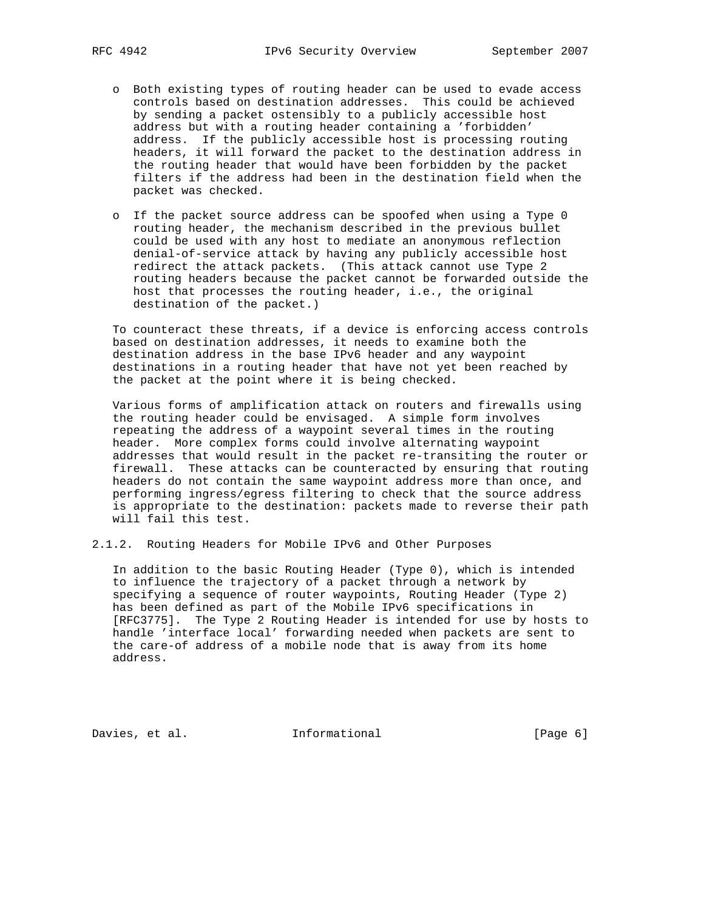- o Both existing types of routing header can be used to evade access controls based on destination addresses. This could be achieved by sending a packet ostensibly to a publicly accessible host address but with a routing header containing a 'forbidden' address. If the publicly accessible host is processing routing headers, it will forward the packet to the destination address in the routing header that would have been forbidden by the packet filters if the address had been in the destination field when the packet was checked.
- o If the packet source address can be spoofed when using a Type 0 routing header, the mechanism described in the previous bullet could be used with any host to mediate an anonymous reflection denial-of-service attack by having any publicly accessible host redirect the attack packets. (This attack cannot use Type 2 routing headers because the packet cannot be forwarded outside the host that processes the routing header, i.e., the original destination of the packet.)

 To counteract these threats, if a device is enforcing access controls based on destination addresses, it needs to examine both the destination address in the base IPv6 header and any waypoint destinations in a routing header that have not yet been reached by the packet at the point where it is being checked.

 Various forms of amplification attack on routers and firewalls using the routing header could be envisaged. A simple form involves repeating the address of a waypoint several times in the routing header. More complex forms could involve alternating waypoint addresses that would result in the packet re-transiting the router or firewall. These attacks can be counteracted by ensuring that routing headers do not contain the same waypoint address more than once, and performing ingress/egress filtering to check that the source address is appropriate to the destination: packets made to reverse their path will fail this test.

2.1.2. Routing Headers for Mobile IPv6 and Other Purposes

 In addition to the basic Routing Header (Type 0), which is intended to influence the trajectory of a packet through a network by specifying a sequence of router waypoints, Routing Header (Type 2) has been defined as part of the Mobile IPv6 specifications in [RFC3775]. The Type 2 Routing Header is intended for use by hosts to handle 'interface local' forwarding needed when packets are sent to the care-of address of a mobile node that is away from its home address.

Davies, et al. 1nformational 1999 [Page 6]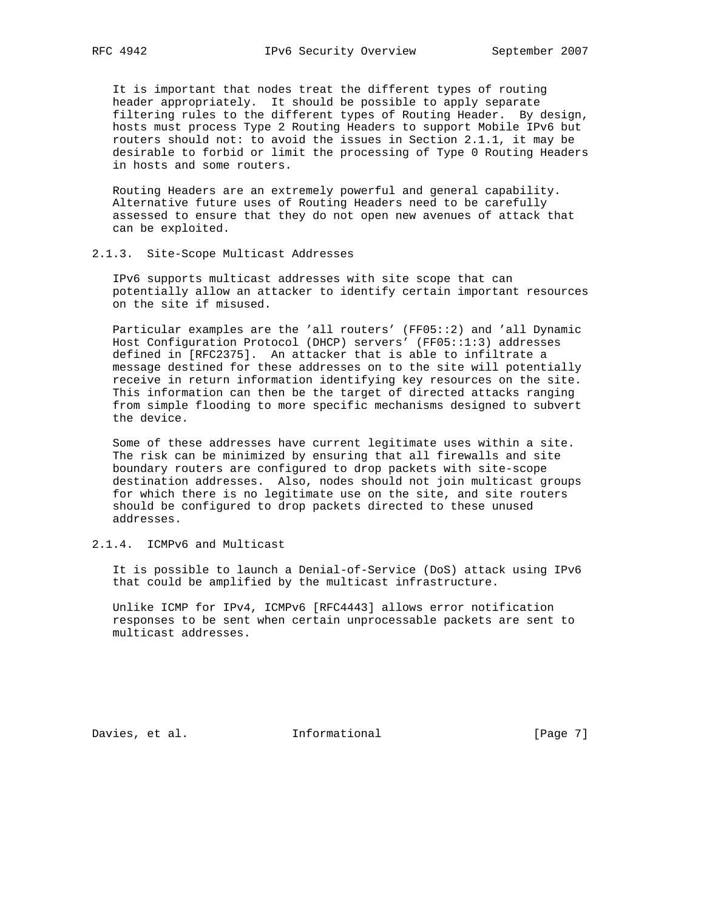It is important that nodes treat the different types of routing header appropriately. It should be possible to apply separate filtering rules to the different types of Routing Header. By design, hosts must process Type 2 Routing Headers to support Mobile IPv6 but routers should not: to avoid the issues in Section 2.1.1, it may be desirable to forbid or limit the processing of Type 0 Routing Headers in hosts and some routers.

 Routing Headers are an extremely powerful and general capability. Alternative future uses of Routing Headers need to be carefully assessed to ensure that they do not open new avenues of attack that can be exploited.

#### 2.1.3. Site-Scope Multicast Addresses

 IPv6 supports multicast addresses with site scope that can potentially allow an attacker to identify certain important resources on the site if misused.

 Particular examples are the 'all routers' (FF05::2) and 'all Dynamic Host Configuration Protocol (DHCP) servers' (FF05::1:3) addresses defined in [RFC2375]. An attacker that is able to infiltrate a message destined for these addresses on to the site will potentially receive in return information identifying key resources on the site. This information can then be the target of directed attacks ranging from simple flooding to more specific mechanisms designed to subvert the device.

 Some of these addresses have current legitimate uses within a site. The risk can be minimized by ensuring that all firewalls and site boundary routers are configured to drop packets with site-scope destination addresses. Also, nodes should not join multicast groups for which there is no legitimate use on the site, and site routers should be configured to drop packets directed to these unused addresses.

# 2.1.4. ICMPv6 and Multicast

 It is possible to launch a Denial-of-Service (DoS) attack using IPv6 that could be amplified by the multicast infrastructure.

 Unlike ICMP for IPv4, ICMPv6 [RFC4443] allows error notification responses to be sent when certain unprocessable packets are sent to multicast addresses.

Davies, et al. 1nformational 1999 [Page 7]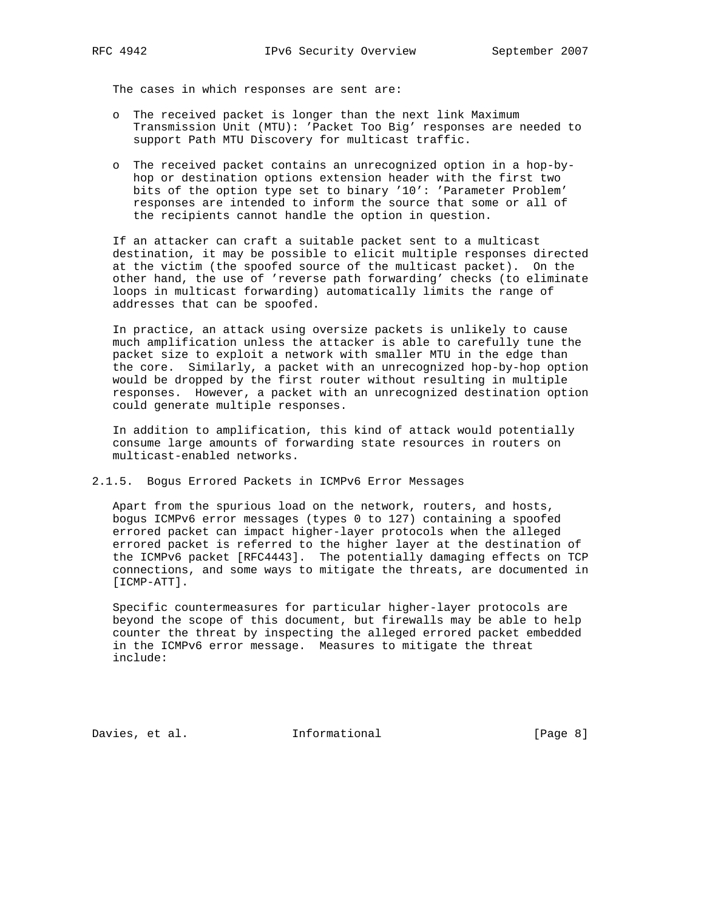The cases in which responses are sent are:

- o The received packet is longer than the next link Maximum Transmission Unit (MTU): 'Packet Too Big' responses are needed to support Path MTU Discovery for multicast traffic.
- o The received packet contains an unrecognized option in a hop-by hop or destination options extension header with the first two bits of the option type set to binary '10': 'Parameter Problem' responses are intended to inform the source that some or all of the recipients cannot handle the option in question.

 If an attacker can craft a suitable packet sent to a multicast destination, it may be possible to elicit multiple responses directed at the victim (the spoofed source of the multicast packet). On the other hand, the use of 'reverse path forwarding' checks (to eliminate loops in multicast forwarding) automatically limits the range of addresses that can be spoofed.

 In practice, an attack using oversize packets is unlikely to cause much amplification unless the attacker is able to carefully tune the packet size to exploit a network with smaller MTU in the edge than the core. Similarly, a packet with an unrecognized hop-by-hop option would be dropped by the first router without resulting in multiple responses. However, a packet with an unrecognized destination option could generate multiple responses.

 In addition to amplification, this kind of attack would potentially consume large amounts of forwarding state resources in routers on multicast-enabled networks.

2.1.5. Bogus Errored Packets in ICMPv6 Error Messages

 Apart from the spurious load on the network, routers, and hosts, bogus ICMPv6 error messages (types 0 to 127) containing a spoofed errored packet can impact higher-layer protocols when the alleged errored packet is referred to the higher layer at the destination of the ICMPv6 packet [RFC4443]. The potentially damaging effects on TCP connections, and some ways to mitigate the threats, are documented in [ICMP-ATT].

 Specific countermeasures for particular higher-layer protocols are beyond the scope of this document, but firewalls may be able to help counter the threat by inspecting the alleged errored packet embedded in the ICMPv6 error message. Measures to mitigate the threat include:

Davies, et al. 1nformational 1999 [Page 8]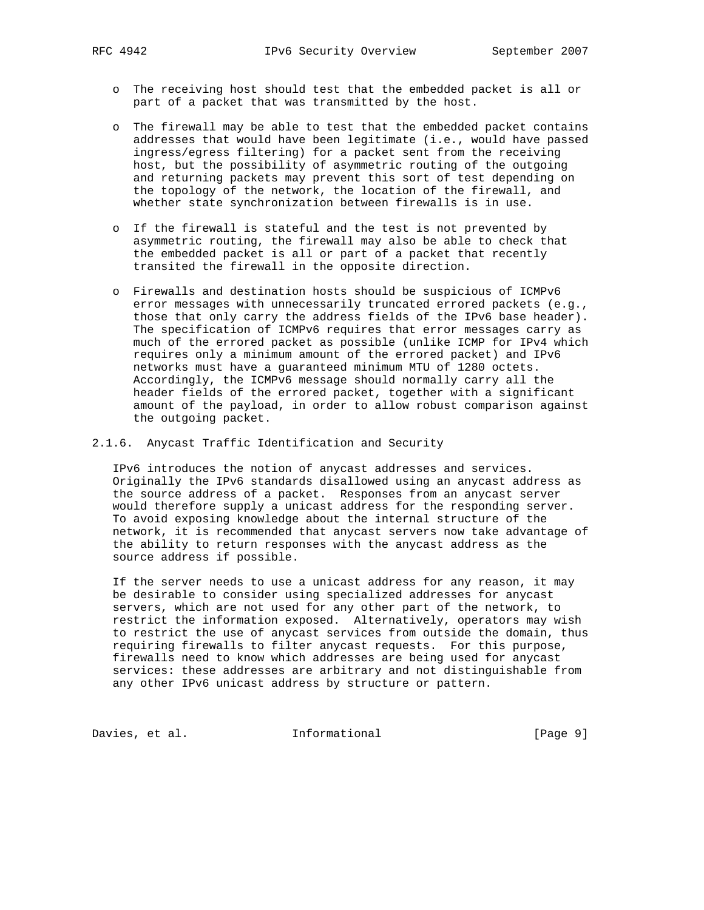- o The receiving host should test that the embedded packet is all or part of a packet that was transmitted by the host.
- o The firewall may be able to test that the embedded packet contains addresses that would have been legitimate (i.e., would have passed ingress/egress filtering) for a packet sent from the receiving host, but the possibility of asymmetric routing of the outgoing and returning packets may prevent this sort of test depending on the topology of the network, the location of the firewall, and whether state synchronization between firewalls is in use.
- o If the firewall is stateful and the test is not prevented by asymmetric routing, the firewall may also be able to check that the embedded packet is all or part of a packet that recently transited the firewall in the opposite direction.
- o Firewalls and destination hosts should be suspicious of ICMPv6 error messages with unnecessarily truncated errored packets (e.g., those that only carry the address fields of the IPv6 base header). The specification of ICMPv6 requires that error messages carry as much of the errored packet as possible (unlike ICMP for IPv4 which requires only a minimum amount of the errored packet) and IPv6 networks must have a guaranteed minimum MTU of 1280 octets. Accordingly, the ICMPv6 message should normally carry all the header fields of the errored packet, together with a significant amount of the payload, in order to allow robust comparison against the outgoing packet.
- 2.1.6. Anycast Traffic Identification and Security

 IPv6 introduces the notion of anycast addresses and services. Originally the IPv6 standards disallowed using an anycast address as the source address of a packet. Responses from an anycast server would therefore supply a unicast address for the responding server. To avoid exposing knowledge about the internal structure of the network, it is recommended that anycast servers now take advantage of the ability to return responses with the anycast address as the source address if possible.

 If the server needs to use a unicast address for any reason, it may be desirable to consider using specialized addresses for anycast servers, which are not used for any other part of the network, to restrict the information exposed. Alternatively, operators may wish to restrict the use of anycast services from outside the domain, thus requiring firewalls to filter anycast requests. For this purpose, firewalls need to know which addresses are being used for anycast services: these addresses are arbitrary and not distinguishable from any other IPv6 unicast address by structure or pattern.

Davies, et al. 1nformational 1999 [Page 9]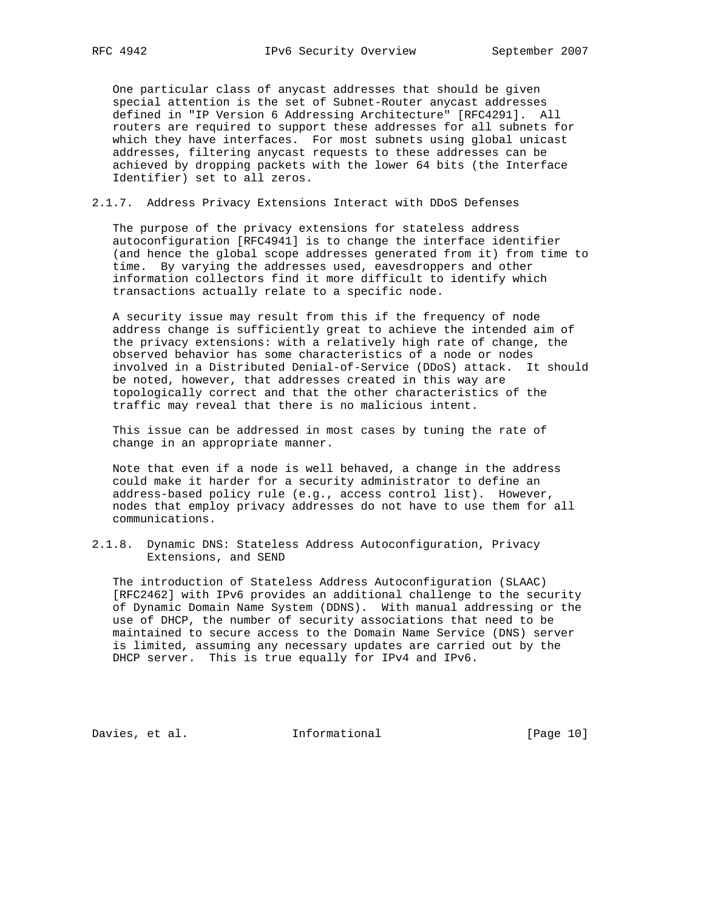One particular class of anycast addresses that should be given special attention is the set of Subnet-Router anycast addresses defined in "IP Version 6 Addressing Architecture" [RFC4291]. All routers are required to support these addresses for all subnets for which they have interfaces. For most subnets using global unicast addresses, filtering anycast requests to these addresses can be achieved by dropping packets with the lower 64 bits (the Interface Identifier) set to all zeros.

## 2.1.7. Address Privacy Extensions Interact with DDoS Defenses

 The purpose of the privacy extensions for stateless address autoconfiguration [RFC4941] is to change the interface identifier (and hence the global scope addresses generated from it) from time to time. By varying the addresses used, eavesdroppers and other information collectors find it more difficult to identify which transactions actually relate to a specific node.

 A security issue may result from this if the frequency of node address change is sufficiently great to achieve the intended aim of the privacy extensions: with a relatively high rate of change, the observed behavior has some characteristics of a node or nodes involved in a Distributed Denial-of-Service (DDoS) attack. It should be noted, however, that addresses created in this way are topologically correct and that the other characteristics of the traffic may reveal that there is no malicious intent.

 This issue can be addressed in most cases by tuning the rate of change in an appropriate manner.

 Note that even if a node is well behaved, a change in the address could make it harder for a security administrator to define an address-based policy rule (e.g., access control list). However, nodes that employ privacy addresses do not have to use them for all communications.

2.1.8. Dynamic DNS: Stateless Address Autoconfiguration, Privacy Extensions, and SEND

 The introduction of Stateless Address Autoconfiguration (SLAAC) [RFC2462] with IPv6 provides an additional challenge to the security of Dynamic Domain Name System (DDNS). With manual addressing or the use of DHCP, the number of security associations that need to be maintained to secure access to the Domain Name Service (DNS) server is limited, assuming any necessary updates are carried out by the DHCP server. This is true equally for IPv4 and IPv6.

Davies, et al. 1nformational [Page 10]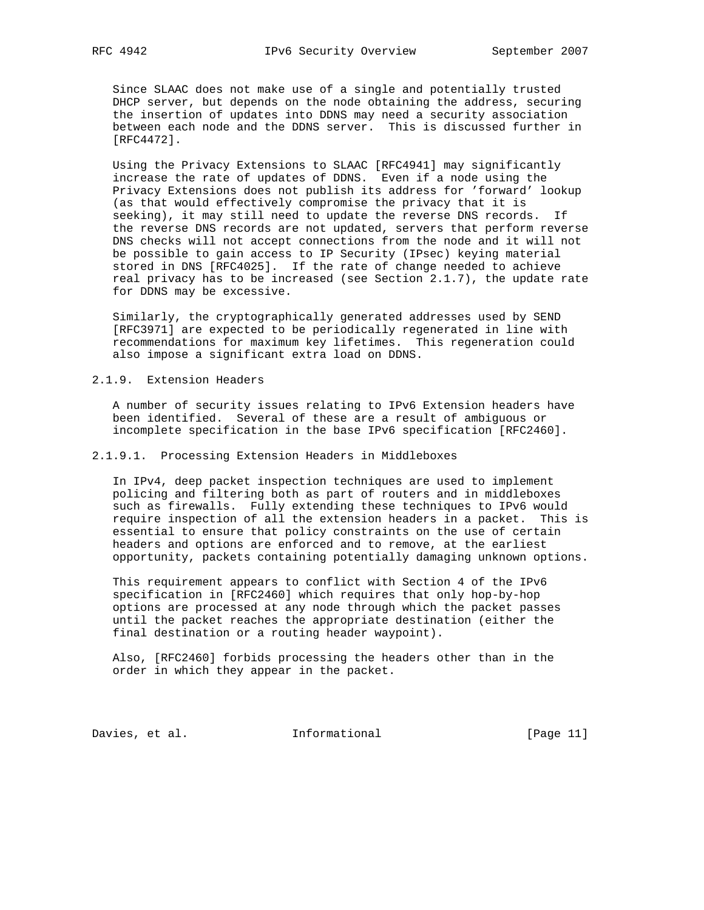Since SLAAC does not make use of a single and potentially trusted DHCP server, but depends on the node obtaining the address, securing the insertion of updates into DDNS may need a security association between each node and the DDNS server. This is discussed further in [RFC4472].

 Using the Privacy Extensions to SLAAC [RFC4941] may significantly increase the rate of updates of DDNS. Even if a node using the Privacy Extensions does not publish its address for 'forward' lookup (as that would effectively compromise the privacy that it is seeking), it may still need to update the reverse DNS records. If the reverse DNS records are not updated, servers that perform reverse DNS checks will not accept connections from the node and it will not be possible to gain access to IP Security (IPsec) keying material stored in DNS [RFC4025]. If the rate of change needed to achieve real privacy has to be increased (see Section 2.1.7), the update rate for DDNS may be excessive.

 Similarly, the cryptographically generated addresses used by SEND [RFC3971] are expected to be periodically regenerated in line with recommendations for maximum key lifetimes. This regeneration could also impose a significant extra load on DDNS.

#### 2.1.9. Extension Headers

 A number of security issues relating to IPv6 Extension headers have been identified. Several of these are a result of ambiguous or incomplete specification in the base IPv6 specification [RFC2460].

#### 2.1.9.1. Processing Extension Headers in Middleboxes

 In IPv4, deep packet inspection techniques are used to implement policing and filtering both as part of routers and in middleboxes such as firewalls. Fully extending these techniques to IPv6 would require inspection of all the extension headers in a packet. This is essential to ensure that policy constraints on the use of certain headers and options are enforced and to remove, at the earliest opportunity, packets containing potentially damaging unknown options.

 This requirement appears to conflict with Section 4 of the IPv6 specification in [RFC2460] which requires that only hop-by-hop options are processed at any node through which the packet passes until the packet reaches the appropriate destination (either the final destination or a routing header waypoint).

 Also, [RFC2460] forbids processing the headers other than in the order in which they appear in the packet.

Davies, et al. 1nformational [Page 11]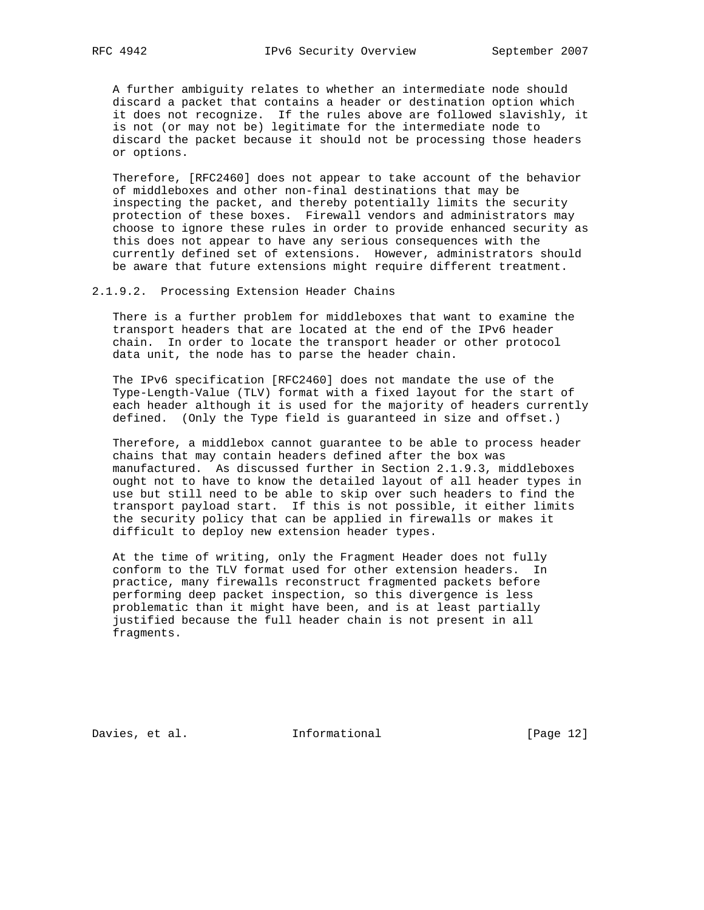A further ambiguity relates to whether an intermediate node should discard a packet that contains a header or destination option which it does not recognize. If the rules above are followed slavishly, it is not (or may not be) legitimate for the intermediate node to discard the packet because it should not be processing those headers or options.

 Therefore, [RFC2460] does not appear to take account of the behavior of middleboxes and other non-final destinations that may be inspecting the packet, and thereby potentially limits the security protection of these boxes. Firewall vendors and administrators may choose to ignore these rules in order to provide enhanced security as this does not appear to have any serious consequences with the currently defined set of extensions. However, administrators should be aware that future extensions might require different treatment.

2.1.9.2. Processing Extension Header Chains

 There is a further problem for middleboxes that want to examine the transport headers that are located at the end of the IPv6 header chain. In order to locate the transport header or other protocol data unit, the node has to parse the header chain.

 The IPv6 specification [RFC2460] does not mandate the use of the Type-Length-Value (TLV) format with a fixed layout for the start of each header although it is used for the majority of headers currently defined. (Only the Type field is guaranteed in size and offset.)

 Therefore, a middlebox cannot guarantee to be able to process header chains that may contain headers defined after the box was manufactured. As discussed further in Section 2.1.9.3, middleboxes ought not to have to know the detailed layout of all header types in use but still need to be able to skip over such headers to find the transport payload start. If this is not possible, it either limits the security policy that can be applied in firewalls or makes it difficult to deploy new extension header types.

 At the time of writing, only the Fragment Header does not fully conform to the TLV format used for other extension headers. In practice, many firewalls reconstruct fragmented packets before performing deep packet inspection, so this divergence is less problematic than it might have been, and is at least partially justified because the full header chain is not present in all fragments.

Davies, et al. 1nformational 1999 [Page 12]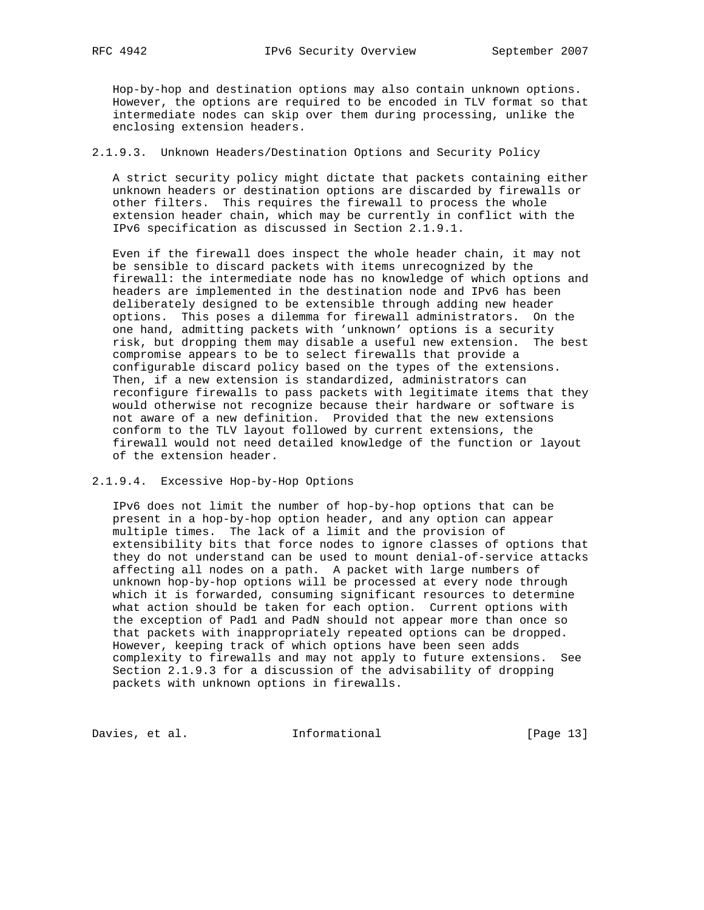Hop-by-hop and destination options may also contain unknown options. However, the options are required to be encoded in TLV format so that intermediate nodes can skip over them during processing, unlike the enclosing extension headers.

## 2.1.9.3. Unknown Headers/Destination Options and Security Policy

 A strict security policy might dictate that packets containing either unknown headers or destination options are discarded by firewalls or other filters. This requires the firewall to process the whole extension header chain, which may be currently in conflict with the IPv6 specification as discussed in Section 2.1.9.1.

 Even if the firewall does inspect the whole header chain, it may not be sensible to discard packets with items unrecognized by the firewall: the intermediate node has no knowledge of which options and headers are implemented in the destination node and IPv6 has been deliberately designed to be extensible through adding new header options. This poses a dilemma for firewall administrators. On the one hand, admitting packets with 'unknown' options is a security risk, but dropping them may disable a useful new extension. The best compromise appears to be to select firewalls that provide a configurable discard policy based on the types of the extensions. Then, if a new extension is standardized, administrators can reconfigure firewalls to pass packets with legitimate items that they would otherwise not recognize because their hardware or software is not aware of a new definition. Provided that the new extensions conform to the TLV layout followed by current extensions, the firewall would not need detailed knowledge of the function or layout of the extension header.

#### 2.1.9.4. Excessive Hop-by-Hop Options

 IPv6 does not limit the number of hop-by-hop options that can be present in a hop-by-hop option header, and any option can appear multiple times. The lack of a limit and the provision of extensibility bits that force nodes to ignore classes of options that they do not understand can be used to mount denial-of-service attacks affecting all nodes on a path. A packet with large numbers of unknown hop-by-hop options will be processed at every node through which it is forwarded, consuming significant resources to determine what action should be taken for each option. Current options with the exception of Pad1 and PadN should not appear more than once so that packets with inappropriately repeated options can be dropped. However, keeping track of which options have been seen adds complexity to firewalls and may not apply to future extensions. See Section 2.1.9.3 for a discussion of the advisability of dropping packets with unknown options in firewalls.

Davies, et al. 1nformational 1999 [Page 13]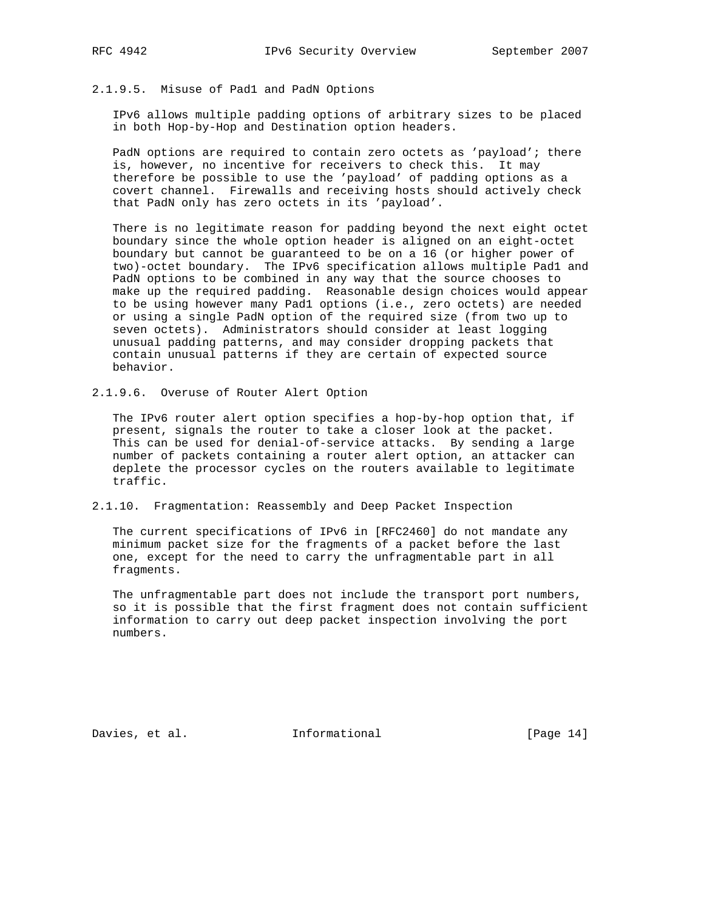## 2.1.9.5. Misuse of Pad1 and PadN Options

 IPv6 allows multiple padding options of arbitrary sizes to be placed in both Hop-by-Hop and Destination option headers.

PadN options are required to contain zero octets as 'payload'; there is, however, no incentive for receivers to check this. It may therefore be possible to use the 'payload' of padding options as a covert channel. Firewalls and receiving hosts should actively check that PadN only has zero octets in its 'payload'.

 There is no legitimate reason for padding beyond the next eight octet boundary since the whole option header is aligned on an eight-octet boundary but cannot be guaranteed to be on a 16 (or higher power of two)-octet boundary. The IPv6 specification allows multiple Pad1 and PadN options to be combined in any way that the source chooses to make up the required padding. Reasonable design choices would appear to be using however many Pad1 options (i.e., zero octets) are needed or using a single PadN option of the required size (from two up to seven octets). Administrators should consider at least logging unusual padding patterns, and may consider dropping packets that contain unusual patterns if they are certain of expected source behavior.

2.1.9.6. Overuse of Router Alert Option

 The IPv6 router alert option specifies a hop-by-hop option that, if present, signals the router to take a closer look at the packet. This can be used for denial-of-service attacks. By sending a large number of packets containing a router alert option, an attacker can deplete the processor cycles on the routers available to legitimate traffic.

## 2.1.10. Fragmentation: Reassembly and Deep Packet Inspection

 The current specifications of IPv6 in [RFC2460] do not mandate any minimum packet size for the fragments of a packet before the last one, except for the need to carry the unfragmentable part in all fragments.

 The unfragmentable part does not include the transport port numbers, so it is possible that the first fragment does not contain sufficient information to carry out deep packet inspection involving the port numbers.

Davies, et al. **Informational** [Page 14]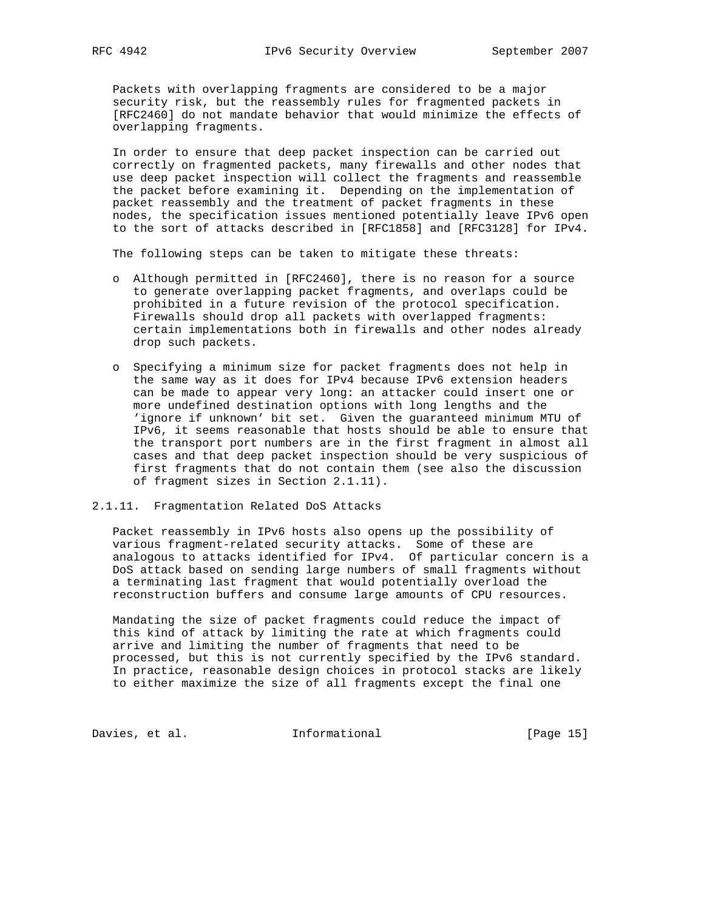Packets with overlapping fragments are considered to be a major security risk, but the reassembly rules for fragmented packets in [RFC2460] do not mandate behavior that would minimize the effects of overlapping fragments.

 In order to ensure that deep packet inspection can be carried out correctly on fragmented packets, many firewalls and other nodes that use deep packet inspection will collect the fragments and reassemble the packet before examining it. Depending on the implementation of packet reassembly and the treatment of packet fragments in these nodes, the specification issues mentioned potentially leave IPv6 open to the sort of attacks described in [RFC1858] and [RFC3128] for IPv4.

The following steps can be taken to mitigate these threats:

- o Although permitted in [RFC2460], there is no reason for a source to generate overlapping packet fragments, and overlaps could be prohibited in a future revision of the protocol specification. Firewalls should drop all packets with overlapped fragments: certain implementations both in firewalls and other nodes already drop such packets.
- o Specifying a minimum size for packet fragments does not help in the same way as it does for IPv4 because IPv6 extension headers can be made to appear very long: an attacker could insert one or more undefined destination options with long lengths and the 'ignore if unknown' bit set. Given the guaranteed minimum MTU of IPv6, it seems reasonable that hosts should be able to ensure that the transport port numbers are in the first fragment in almost all cases and that deep packet inspection should be very suspicious of first fragments that do not contain them (see also the discussion of fragment sizes in Section 2.1.11).

#### 2.1.11. Fragmentation Related DoS Attacks

 Packet reassembly in IPv6 hosts also opens up the possibility of various fragment-related security attacks. Some of these are analogous to attacks identified for IPv4. Of particular concern is a DoS attack based on sending large numbers of small fragments without a terminating last fragment that would potentially overload the reconstruction buffers and consume large amounts of CPU resources.

 Mandating the size of packet fragments could reduce the impact of this kind of attack by limiting the rate at which fragments could arrive and limiting the number of fragments that need to be processed, but this is not currently specified by the IPv6 standard. In practice, reasonable design choices in protocol stacks are likely to either maximize the size of all fragments except the final one

Davies, et al. 1nformational 1999 [Page 15]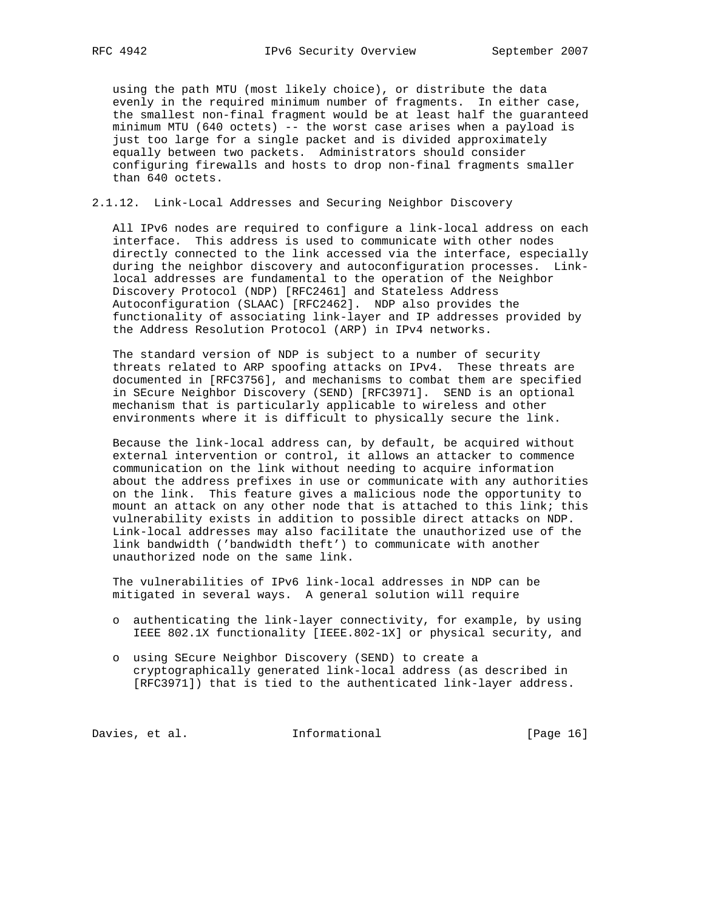using the path MTU (most likely choice), or distribute the data evenly in the required minimum number of fragments. In either case, the smallest non-final fragment would be at least half the guaranteed minimum MTU (640 octets) -- the worst case arises when a payload is just too large for a single packet and is divided approximately equally between two packets. Administrators should consider configuring firewalls and hosts to drop non-final fragments smaller than 640 octets.

## 2.1.12. Link-Local Addresses and Securing Neighbor Discovery

 All IPv6 nodes are required to configure a link-local address on each interface. This address is used to communicate with other nodes directly connected to the link accessed via the interface, especially during the neighbor discovery and autoconfiguration processes. Link local addresses are fundamental to the operation of the Neighbor Discovery Protocol (NDP) [RFC2461] and Stateless Address Autoconfiguration (SLAAC) [RFC2462]. NDP also provides the functionality of associating link-layer and IP addresses provided by the Address Resolution Protocol (ARP) in IPv4 networks.

 The standard version of NDP is subject to a number of security threats related to ARP spoofing attacks on IPv4. These threats are documented in [RFC3756], and mechanisms to combat them are specified in SEcure Neighbor Discovery (SEND) [RFC3971]. SEND is an optional mechanism that is particularly applicable to wireless and other environments where it is difficult to physically secure the link.

 Because the link-local address can, by default, be acquired without external intervention or control, it allows an attacker to commence communication on the link without needing to acquire information about the address prefixes in use or communicate with any authorities on the link. This feature gives a malicious node the opportunity to mount an attack on any other node that is attached to this link; this vulnerability exists in addition to possible direct attacks on NDP. Link-local addresses may also facilitate the unauthorized use of the link bandwidth ('bandwidth theft') to communicate with another unauthorized node on the same link.

 The vulnerabilities of IPv6 link-local addresses in NDP can be mitigated in several ways. A general solution will require

- o authenticating the link-layer connectivity, for example, by using IEEE 802.1X functionality [IEEE.802-1X] or physical security, and
- o using SEcure Neighbor Discovery (SEND) to create a cryptographically generated link-local address (as described in [RFC3971]) that is tied to the authenticated link-layer address.

Davies, et al. 1nformational [Page 16]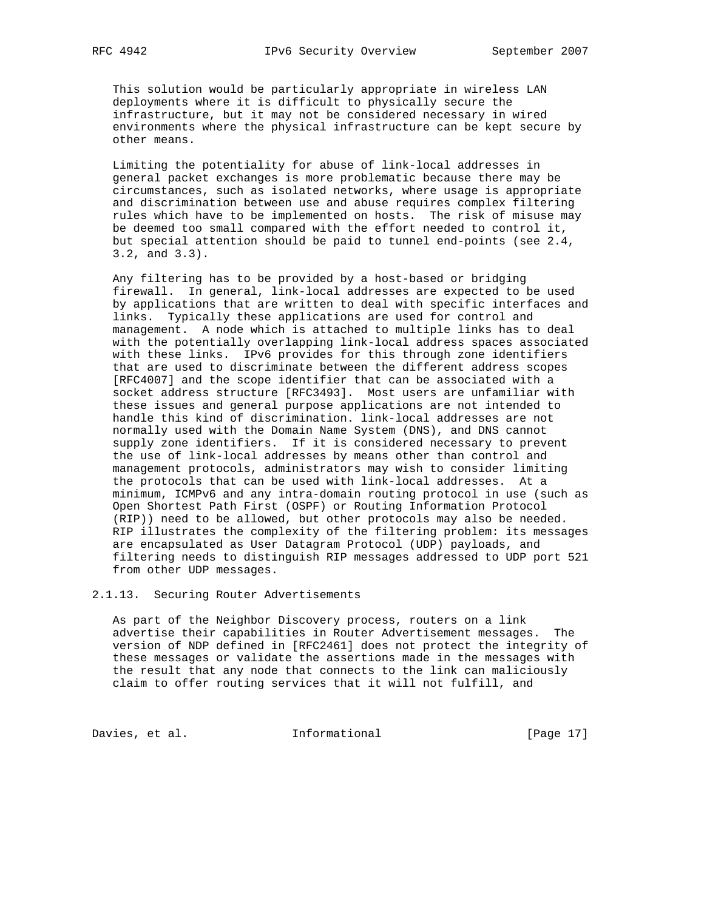This solution would be particularly appropriate in wireless LAN deployments where it is difficult to physically secure the infrastructure, but it may not be considered necessary in wired environments where the physical infrastructure can be kept secure by other means.

 Limiting the potentiality for abuse of link-local addresses in general packet exchanges is more problematic because there may be circumstances, such as isolated networks, where usage is appropriate and discrimination between use and abuse requires complex filtering rules which have to be implemented on hosts. The risk of misuse may be deemed too small compared with the effort needed to control it, but special attention should be paid to tunnel end-points (see 2.4, 3.2, and 3.3).

 Any filtering has to be provided by a host-based or bridging firewall. In general, link-local addresses are expected to be used by applications that are written to deal with specific interfaces and links. Typically these applications are used for control and management. A node which is attached to multiple links has to deal with the potentially overlapping link-local address spaces associated with these links. IPv6 provides for this through zone identifiers that are used to discriminate between the different address scopes [RFC4007] and the scope identifier that can be associated with a socket address structure [RFC3493]. Most users are unfamiliar with these issues and general purpose applications are not intended to handle this kind of discrimination. link-local addresses are not normally used with the Domain Name System (DNS), and DNS cannot supply zone identifiers. If it is considered necessary to prevent the use of link-local addresses by means other than control and management protocols, administrators may wish to consider limiting the protocols that can be used with link-local addresses. At a minimum, ICMPv6 and any intra-domain routing protocol in use (such as Open Shortest Path First (OSPF) or Routing Information Protocol (RIP)) need to be allowed, but other protocols may also be needed. RIP illustrates the complexity of the filtering problem: its messages are encapsulated as User Datagram Protocol (UDP) payloads, and filtering needs to distinguish RIP messages addressed to UDP port 521 from other UDP messages.

2.1.13. Securing Router Advertisements

 As part of the Neighbor Discovery process, routers on a link advertise their capabilities in Router Advertisement messages. The version of NDP defined in [RFC2461] does not protect the integrity of these messages or validate the assertions made in the messages with the result that any node that connects to the link can maliciously claim to offer routing services that it will not fulfill, and

Davies, et al. 1nformational 1999 [Page 17]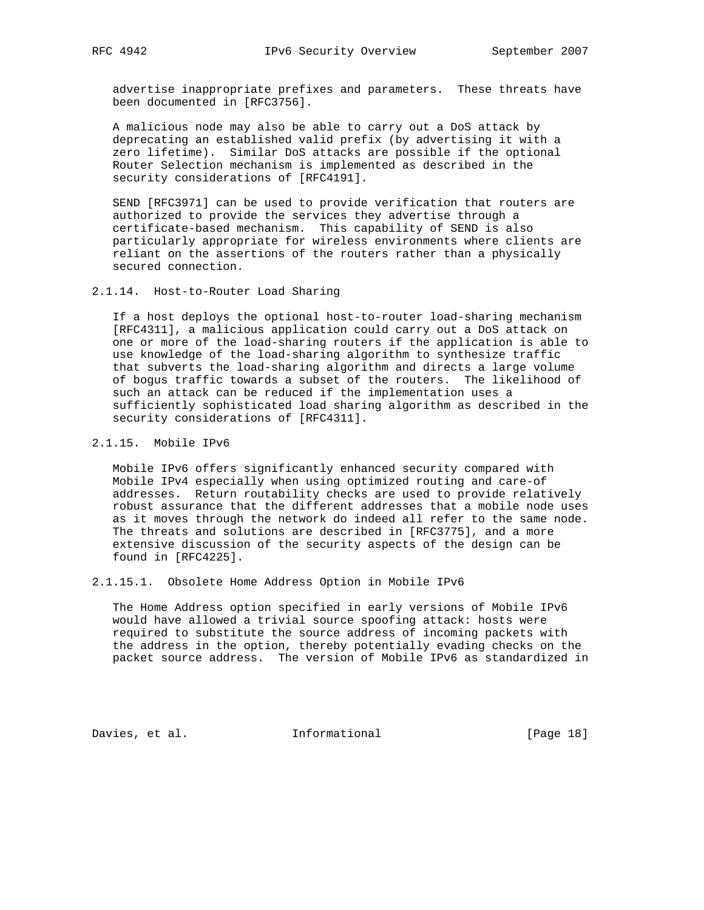advertise inappropriate prefixes and parameters. These threats have been documented in [RFC3756].

 A malicious node may also be able to carry out a DoS attack by deprecating an established valid prefix (by advertising it with a zero lifetime). Similar DoS attacks are possible if the optional Router Selection mechanism is implemented as described in the security considerations of [RFC4191].

 SEND [RFC3971] can be used to provide verification that routers are authorized to provide the services they advertise through a certificate-based mechanism. This capability of SEND is also particularly appropriate for wireless environments where clients are reliant on the assertions of the routers rather than a physically secured connection.

2.1.14. Host-to-Router Load Sharing

 If a host deploys the optional host-to-router load-sharing mechanism [RFC4311], a malicious application could carry out a DoS attack on one or more of the load-sharing routers if the application is able to use knowledge of the load-sharing algorithm to synthesize traffic that subverts the load-sharing algorithm and directs a large volume of bogus traffic towards a subset of the routers. The likelihood of such an attack can be reduced if the implementation uses a sufficiently sophisticated load sharing algorithm as described in the security considerations of [RFC4311].

2.1.15. Mobile IPv6

 Mobile IPv6 offers significantly enhanced security compared with Mobile IPv4 especially when using optimized routing and care-of addresses. Return routability checks are used to provide relatively robust assurance that the different addresses that a mobile node uses as it moves through the network do indeed all refer to the same node. The threats and solutions are described in [RFC3775], and a more extensive discussion of the security aspects of the design can be found in [RFC4225].

2.1.15.1. Obsolete Home Address Option in Mobile IPv6

 The Home Address option specified in early versions of Mobile IPv6 would have allowed a trivial source spoofing attack: hosts were required to substitute the source address of incoming packets with the address in the option, thereby potentially evading checks on the packet source address. The version of Mobile IPv6 as standardized in

Davies, et al. **Informational** [Page 18]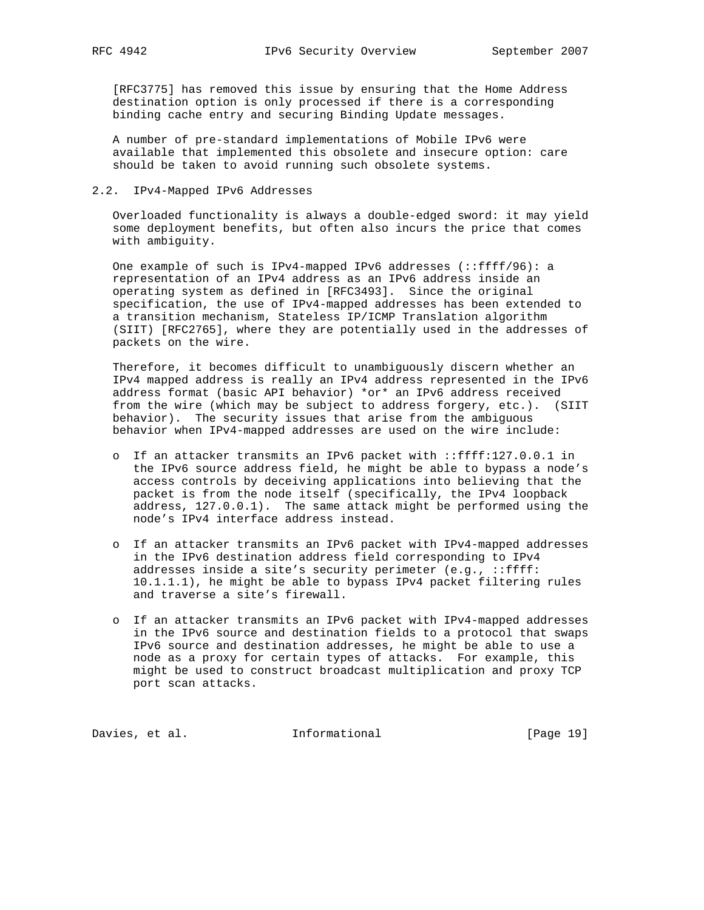[RFC3775] has removed this issue by ensuring that the Home Address destination option is only processed if there is a corresponding binding cache entry and securing Binding Update messages.

 A number of pre-standard implementations of Mobile IPv6 were available that implemented this obsolete and insecure option: care should be taken to avoid running such obsolete systems.

#### 2.2. IPv4-Mapped IPv6 Addresses

 Overloaded functionality is always a double-edged sword: it may yield some deployment benefits, but often also incurs the price that comes with ambiguity.

 One example of such is IPv4-mapped IPv6 addresses (::ffff/96): a representation of an IPv4 address as an IPv6 address inside an operating system as defined in [RFC3493]. Since the original specification, the use of IPv4-mapped addresses has been extended to a transition mechanism, Stateless IP/ICMP Translation algorithm (SIIT) [RFC2765], where they are potentially used in the addresses of packets on the wire.

 Therefore, it becomes difficult to unambiguously discern whether an IPv4 mapped address is really an IPv4 address represented in the IPv6 address format (basic API behavior) \*or\* an IPv6 address received from the wire (which may be subject to address forgery, etc.). (SIIT behavior). The security issues that arise from the ambiguous behavior when IPv4-mapped addresses are used on the wire include:

- o If an attacker transmits an IPv6 packet with ::ffff:127.0.0.1 in the IPv6 source address field, he might be able to bypass a node's access controls by deceiving applications into believing that the packet is from the node itself (specifically, the IPv4 loopback address, 127.0.0.1). The same attack might be performed using the node's IPv4 interface address instead.
- o If an attacker transmits an IPv6 packet with IPv4-mapped addresses in the IPv6 destination address field corresponding to IPv4 addresses inside a site's security perimeter (e.g., ::ffff: 10.1.1.1), he might be able to bypass IPv4 packet filtering rules and traverse a site's firewall.
- o If an attacker transmits an IPv6 packet with IPv4-mapped addresses in the IPv6 source and destination fields to a protocol that swaps IPv6 source and destination addresses, he might be able to use a node as a proxy for certain types of attacks. For example, this might be used to construct broadcast multiplication and proxy TCP port scan attacks.

Davies, et al. 1nformational 1915 [Page 19]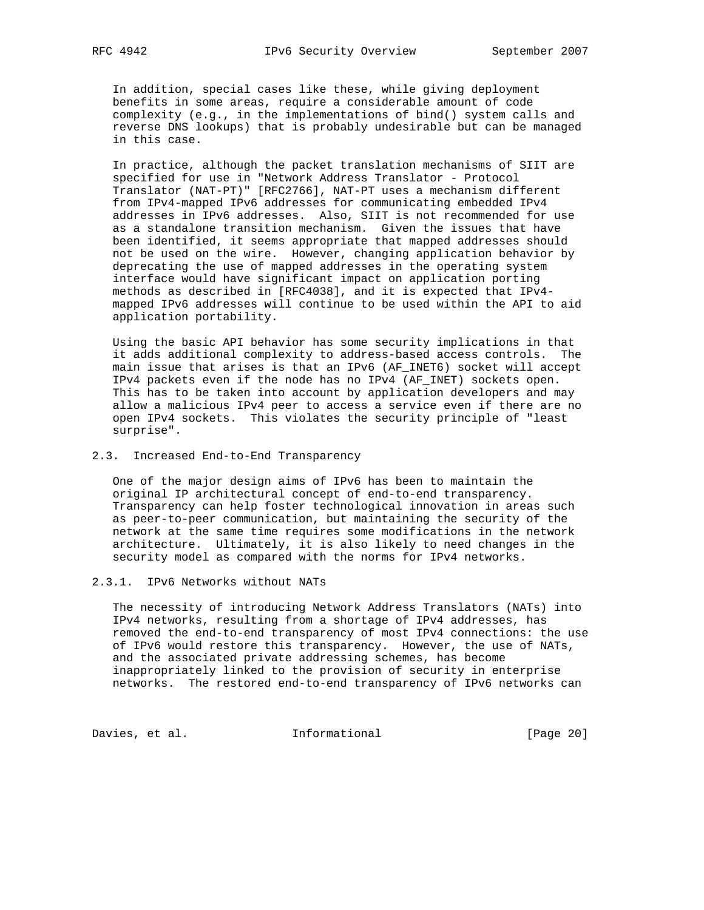In addition, special cases like these, while giving deployment benefits in some areas, require a considerable amount of code complexity (e.g., in the implementations of bind() system calls and reverse DNS lookups) that is probably undesirable but can be managed in this case.

 In practice, although the packet translation mechanisms of SIIT are specified for use in "Network Address Translator - Protocol Translator (NAT-PT)" [RFC2766], NAT-PT uses a mechanism different from IPv4-mapped IPv6 addresses for communicating embedded IPv4 addresses in IPv6 addresses. Also, SIIT is not recommended for use as a standalone transition mechanism. Given the issues that have been identified, it seems appropriate that mapped addresses should not be used on the wire. However, changing application behavior by deprecating the use of mapped addresses in the operating system interface would have significant impact on application porting methods as described in [RFC4038], and it is expected that IPv4 mapped IPv6 addresses will continue to be used within the API to aid application portability.

 Using the basic API behavior has some security implications in that it adds additional complexity to address-based access controls. The main issue that arises is that an IPv6 (AF\_INET6) socket will accept IPv4 packets even if the node has no IPv4 (AF\_INET) sockets open. This has to be taken into account by application developers and may allow a malicious IPv4 peer to access a service even if there are no open IPv4 sockets. This violates the security principle of "least surprise".

# 2.3. Increased End-to-End Transparency

 One of the major design aims of IPv6 has been to maintain the original IP architectural concept of end-to-end transparency. Transparency can help foster technological innovation in areas such as peer-to-peer communication, but maintaining the security of the network at the same time requires some modifications in the network architecture. Ultimately, it is also likely to need changes in the security model as compared with the norms for IPv4 networks.

### 2.3.1. IPv6 Networks without NATs

 The necessity of introducing Network Address Translators (NATs) into IPv4 networks, resulting from a shortage of IPv4 addresses, has removed the end-to-end transparency of most IPv4 connections: the use of IPv6 would restore this transparency. However, the use of NATs, and the associated private addressing schemes, has become inappropriately linked to the provision of security in enterprise networks. The restored end-to-end transparency of IPv6 networks can

Davies, et al. 1nformational [Page 20]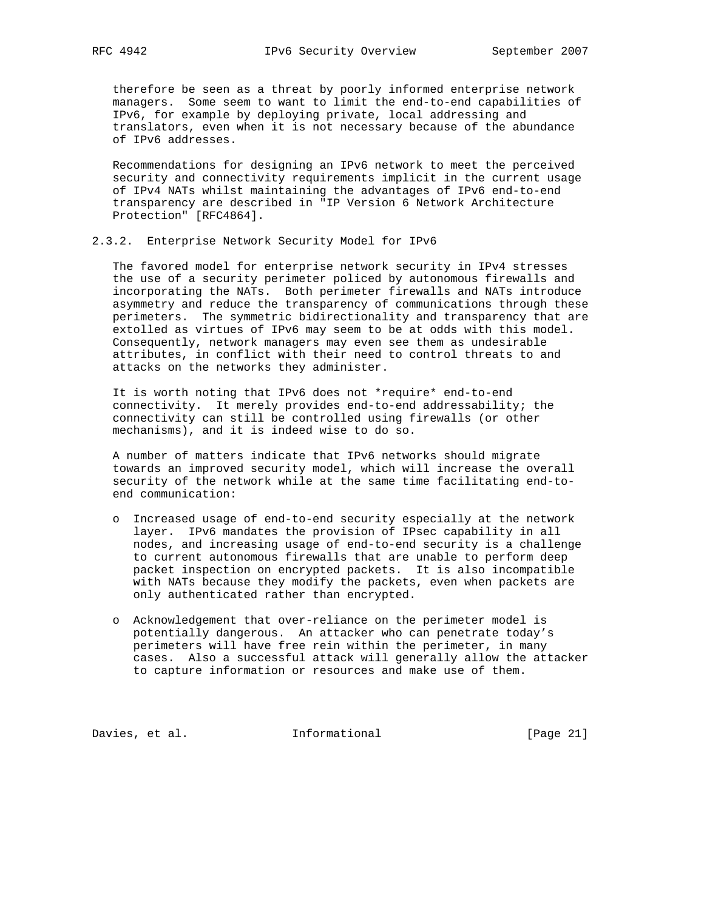therefore be seen as a threat by poorly informed enterprise network managers. Some seem to want to limit the end-to-end capabilities of IPv6, for example by deploying private, local addressing and translators, even when it is not necessary because of the abundance of IPv6 addresses.

 Recommendations for designing an IPv6 network to meet the perceived security and connectivity requirements implicit in the current usage of IPv4 NATs whilst maintaining the advantages of IPv6 end-to-end transparency are described in "IP Version 6 Network Architecture Protection" [RFC4864].

#### 2.3.2. Enterprise Network Security Model for IPv6

 The favored model for enterprise network security in IPv4 stresses the use of a security perimeter policed by autonomous firewalls and incorporating the NATs. Both perimeter firewalls and NATs introduce asymmetry and reduce the transparency of communications through these perimeters. The symmetric bidirectionality and transparency that are extolled as virtues of IPv6 may seem to be at odds with this model. Consequently, network managers may even see them as undesirable attributes, in conflict with their need to control threats to and attacks on the networks they administer.

 It is worth noting that IPv6 does not \*require\* end-to-end connectivity. It merely provides end-to-end addressability; the connectivity can still be controlled using firewalls (or other mechanisms), and it is indeed wise to do so.

 A number of matters indicate that IPv6 networks should migrate towards an improved security model, which will increase the overall security of the network while at the same time facilitating end-to end communication:

- o Increased usage of end-to-end security especially at the network layer. IPv6 mandates the provision of IPsec capability in all nodes, and increasing usage of end-to-end security is a challenge to current autonomous firewalls that are unable to perform deep packet inspection on encrypted packets. It is also incompatible with NATs because they modify the packets, even when packets are only authenticated rather than encrypted.
- o Acknowledgement that over-reliance on the perimeter model is potentially dangerous. An attacker who can penetrate today's perimeters will have free rein within the perimeter, in many cases. Also a successful attack will generally allow the attacker to capture information or resources and make use of them.

Davies, et al. 1nformational [Page 21]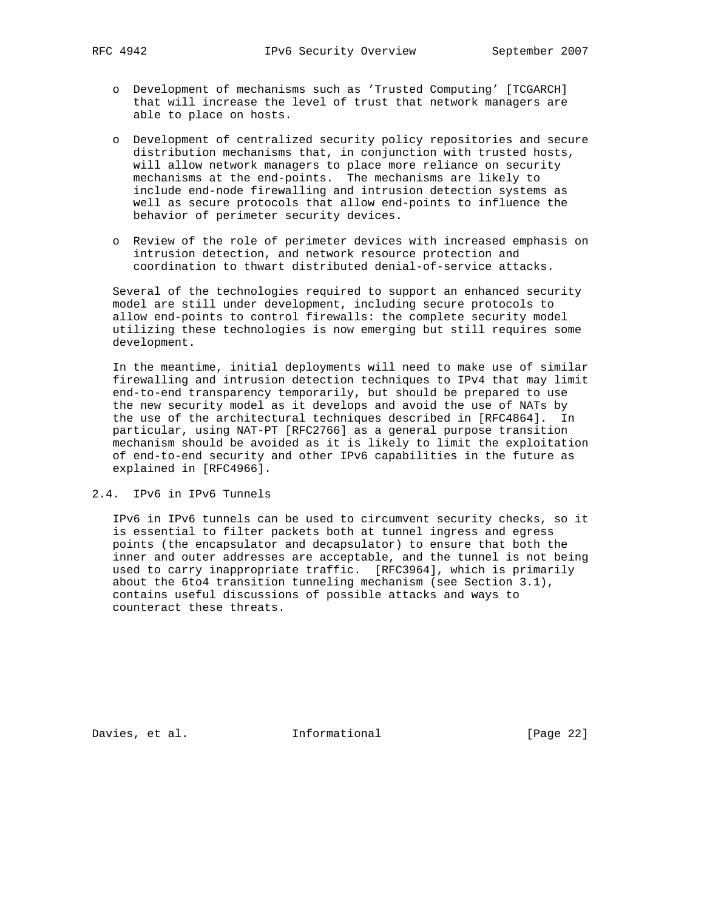- o Development of mechanisms such as 'Trusted Computing' [TCGARCH] that will increase the level of trust that network managers are able to place on hosts.
- o Development of centralized security policy repositories and secure distribution mechanisms that, in conjunction with trusted hosts, will allow network managers to place more reliance on security mechanisms at the end-points. The mechanisms are likely to include end-node firewalling and intrusion detection systems as well as secure protocols that allow end-points to influence the behavior of perimeter security devices.
- o Review of the role of perimeter devices with increased emphasis on intrusion detection, and network resource protection and coordination to thwart distributed denial-of-service attacks.

 Several of the technologies required to support an enhanced security model are still under development, including secure protocols to allow end-points to control firewalls: the complete security model utilizing these technologies is now emerging but still requires some development.

 In the meantime, initial deployments will need to make use of similar firewalling and intrusion detection techniques to IPv4 that may limit end-to-end transparency temporarily, but should be prepared to use the new security model as it develops and avoid the use of NATs by the use of the architectural techniques described in [RFC4864]. In particular, using NAT-PT [RFC2766] as a general purpose transition mechanism should be avoided as it is likely to limit the exploitation of end-to-end security and other IPv6 capabilities in the future as explained in [RFC4966].

2.4. IPv6 in IPv6 Tunnels

 IPv6 in IPv6 tunnels can be used to circumvent security checks, so it is essential to filter packets both at tunnel ingress and egress points (the encapsulator and decapsulator) to ensure that both the inner and outer addresses are acceptable, and the tunnel is not being used to carry inappropriate traffic. [RFC3964], which is primarily about the 6to4 transition tunneling mechanism (see Section 3.1), contains useful discussions of possible attacks and ways to counteract these threats.

Davies, et al. 1nformational [Page 22]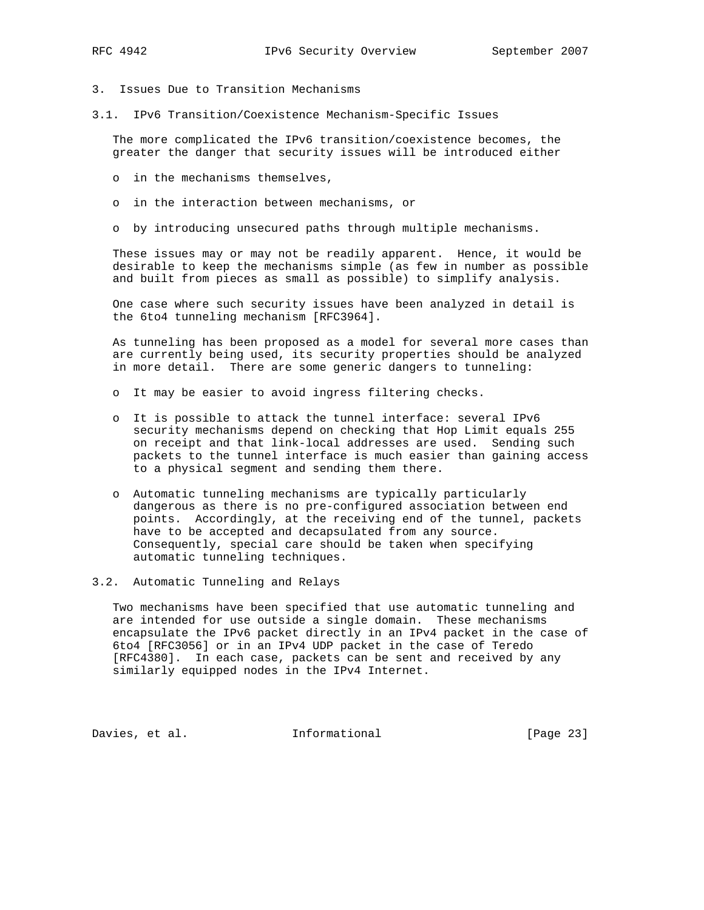- 
- 3. Issues Due to Transition Mechanisms
- 3.1. IPv6 Transition/Coexistence Mechanism-Specific Issues

 The more complicated the IPv6 transition/coexistence becomes, the greater the danger that security issues will be introduced either

- o in the mechanisms themselves,
- o in the interaction between mechanisms, or
- o by introducing unsecured paths through multiple mechanisms.

 These issues may or may not be readily apparent. Hence, it would be desirable to keep the mechanisms simple (as few in number as possible and built from pieces as small as possible) to simplify analysis.

 One case where such security issues have been analyzed in detail is the 6to4 tunneling mechanism [RFC3964].

 As tunneling has been proposed as a model for several more cases than are currently being used, its security properties should be analyzed in more detail. There are some generic dangers to tunneling:

- o It may be easier to avoid ingress filtering checks.
- o It is possible to attack the tunnel interface: several IPv6 security mechanisms depend on checking that Hop Limit equals 255 on receipt and that link-local addresses are used. Sending such packets to the tunnel interface is much easier than gaining access to a physical segment and sending them there.
- o Automatic tunneling mechanisms are typically particularly dangerous as there is no pre-configured association between end points. Accordingly, at the receiving end of the tunnel, packets have to be accepted and decapsulated from any source. Consequently, special care should be taken when specifying automatic tunneling techniques.

3.2. Automatic Tunneling and Relays

 Two mechanisms have been specified that use automatic tunneling and are intended for use outside a single domain. These mechanisms encapsulate the IPv6 packet directly in an IPv4 packet in the case of 6to4 [RFC3056] or in an IPv4 UDP packet in the case of Teredo [RFC4380]. In each case, packets can be sent and received by any similarly equipped nodes in the IPv4 Internet.

Davies, et al. 1nformational [Page 23]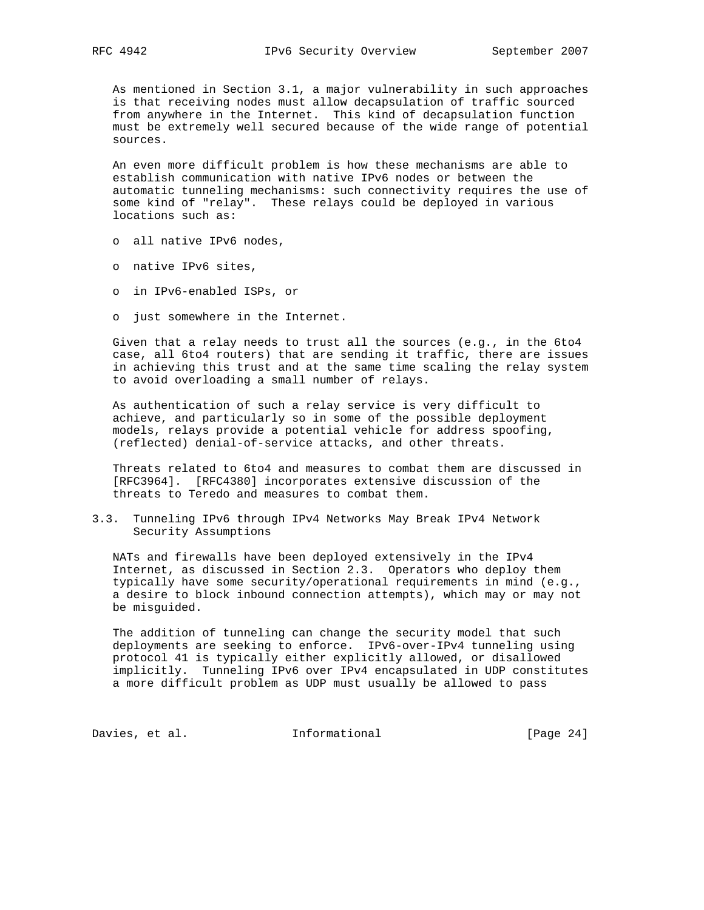As mentioned in Section 3.1, a major vulnerability in such approaches is that receiving nodes must allow decapsulation of traffic sourced from anywhere in the Internet. This kind of decapsulation function must be extremely well secured because of the wide range of potential sources.

 An even more difficult problem is how these mechanisms are able to establish communication with native IPv6 nodes or between the automatic tunneling mechanisms: such connectivity requires the use of some kind of "relay". These relays could be deployed in various locations such as:

- o all native IPv6 nodes,
- o native IPv6 sites,
- o in IPv6-enabled ISPs, or
- o just somewhere in the Internet.

 Given that a relay needs to trust all the sources (e.g., in the 6to4 case, all 6to4 routers) that are sending it traffic, there are issues in achieving this trust and at the same time scaling the relay system to avoid overloading a small number of relays.

 As authentication of such a relay service is very difficult to achieve, and particularly so in some of the possible deployment models, relays provide a potential vehicle for address spoofing, (reflected) denial-of-service attacks, and other threats.

 Threats related to 6to4 and measures to combat them are discussed in [RFC3964]. [RFC4380] incorporates extensive discussion of the threats to Teredo and measures to combat them.

3.3. Tunneling IPv6 through IPv4 Networks May Break IPv4 Network Security Assumptions

 NATs and firewalls have been deployed extensively in the IPv4 Internet, as discussed in Section 2.3. Operators who deploy them typically have some security/operational requirements in mind (e.g., a desire to block inbound connection attempts), which may or may not be misguided.

 The addition of tunneling can change the security model that such deployments are seeking to enforce. IPv6-over-IPv4 tunneling using protocol 41 is typically either explicitly allowed, or disallowed implicitly. Tunneling IPv6 over IPv4 encapsulated in UDP constitutes a more difficult problem as UDP must usually be allowed to pass

Davies, et al. 1nformational [Page 24]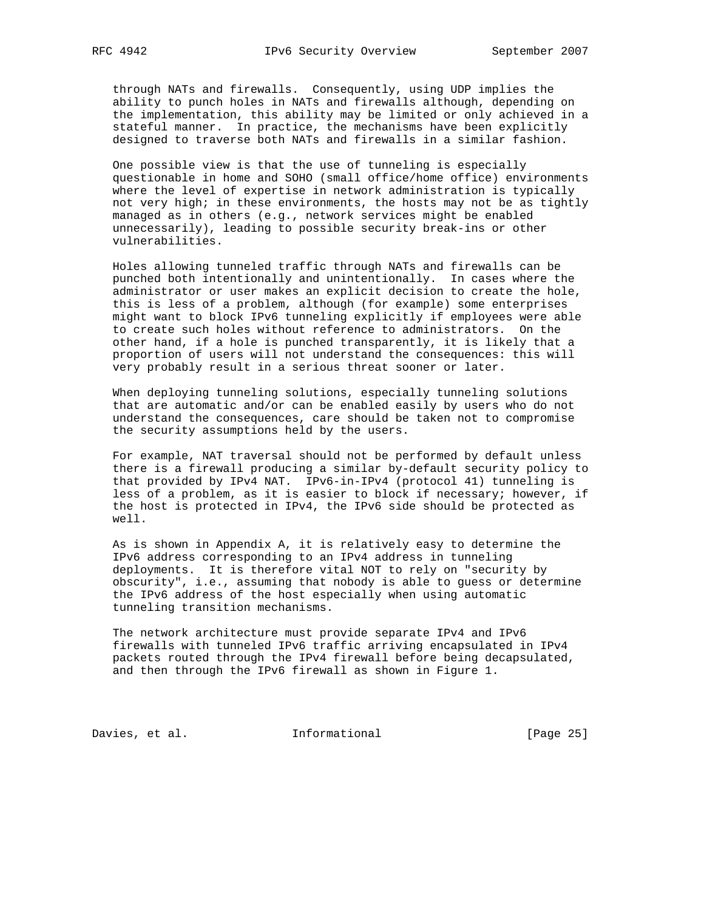through NATs and firewalls. Consequently, using UDP implies the ability to punch holes in NATs and firewalls although, depending on the implementation, this ability may be limited or only achieved in a stateful manner. In practice, the mechanisms have been explicitly designed to traverse both NATs and firewalls in a similar fashion.

 One possible view is that the use of tunneling is especially questionable in home and SOHO (small office/home office) environments where the level of expertise in network administration is typically not very high; in these environments, the hosts may not be as tightly managed as in others (e.g., network services might be enabled unnecessarily), leading to possible security break-ins or other vulnerabilities.

 Holes allowing tunneled traffic through NATs and firewalls can be punched both intentionally and unintentionally. In cases where the administrator or user makes an explicit decision to create the hole, this is less of a problem, although (for example) some enterprises might want to block IPv6 tunneling explicitly if employees were able to create such holes without reference to administrators. On the other hand, if a hole is punched transparently, it is likely that a proportion of users will not understand the consequences: this will very probably result in a serious threat sooner or later.

 When deploying tunneling solutions, especially tunneling solutions that are automatic and/or can be enabled easily by users who do not understand the consequences, care should be taken not to compromise the security assumptions held by the users.

 For example, NAT traversal should not be performed by default unless there is a firewall producing a similar by-default security policy to that provided by IPv4 NAT. IPv6-in-IPv4 (protocol 41) tunneling is less of a problem, as it is easier to block if necessary; however, if the host is protected in IPv4, the IPv6 side should be protected as well.

 As is shown in Appendix A, it is relatively easy to determine the IPv6 address corresponding to an IPv4 address in tunneling deployments. It is therefore vital NOT to rely on "security by obscurity", i.e., assuming that nobody is able to guess or determine the IPv6 address of the host especially when using automatic tunneling transition mechanisms.

 The network architecture must provide separate IPv4 and IPv6 firewalls with tunneled IPv6 traffic arriving encapsulated in IPv4 packets routed through the IPv4 firewall before being decapsulated, and then through the IPv6 firewall as shown in Figure 1.

Davies, et al. 1nformational [Page 25]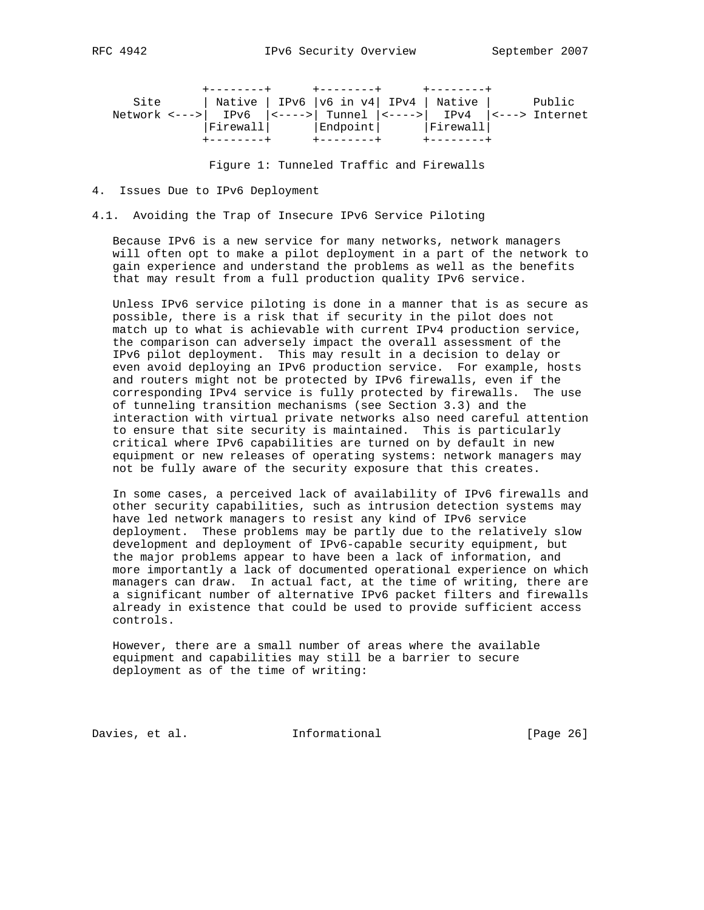| 494<br>RFC |  |
|------------|--|
|------------|--|

| Site |  |             | Native   IPv6   v6 in v4   IPv4   Native   Public                                         |  |
|------|--|-------------|-------------------------------------------------------------------------------------------|--|
|      |  |             | Network <--->   IPv6 $\vert$ <---->   Tunnel $\vert$ <---->   IPv4 $\vert$ <---> Internet |  |
|      |  |             | Firewall   Endpoint   Firewall                                                            |  |
|      |  | -+--------+ | $+ - - - - - - - +$                                                                       |  |

Figure 1: Tunneled Traffic and Firewalls

4. Issues Due to IPv6 Deployment

4.1. Avoiding the Trap of Insecure IPv6 Service Piloting

 Because IPv6 is a new service for many networks, network managers will often opt to make a pilot deployment in a part of the network to gain experience and understand the problems as well as the benefits that may result from a full production quality IPv6 service.

 Unless IPv6 service piloting is done in a manner that is as secure as possible, there is a risk that if security in the pilot does not match up to what is achievable with current IPv4 production service, the comparison can adversely impact the overall assessment of the IPv6 pilot deployment. This may result in a decision to delay or even avoid deploying an IPv6 production service. For example, hosts and routers might not be protected by IPv6 firewalls, even if the corresponding IPv4 service is fully protected by firewalls. The use of tunneling transition mechanisms (see Section 3.3) and the interaction with virtual private networks also need careful attention to ensure that site security is maintained. This is particularly critical where IPv6 capabilities are turned on by default in new equipment or new releases of operating systems: network managers may not be fully aware of the security exposure that this creates.

 In some cases, a perceived lack of availability of IPv6 firewalls and other security capabilities, such as intrusion detection systems may have led network managers to resist any kind of IPv6 service deployment. These problems may be partly due to the relatively slow development and deployment of IPv6-capable security equipment, but the major problems appear to have been a lack of information, and more importantly a lack of documented operational experience on which managers can draw. In actual fact, at the time of writing, there are a significant number of alternative IPv6 packet filters and firewalls already in existence that could be used to provide sufficient access controls.

 However, there are a small number of areas where the available equipment and capabilities may still be a barrier to secure deployment as of the time of writing:

Davies, et al. **Informational** [Page 26]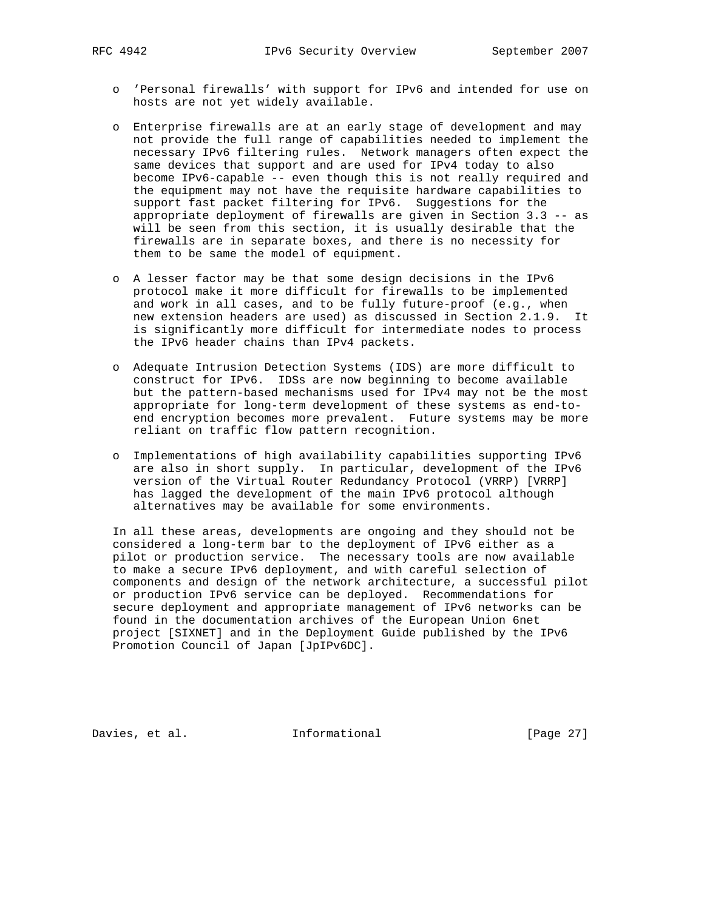- o 'Personal firewalls' with support for IPv6 and intended for use on hosts are not yet widely available.
- o Enterprise firewalls are at an early stage of development and may not provide the full range of capabilities needed to implement the necessary IPv6 filtering rules. Network managers often expect the same devices that support and are used for IPv4 today to also become IPv6-capable -- even though this is not really required and the equipment may not have the requisite hardware capabilities to support fast packet filtering for IPv6. Suggestions for the appropriate deployment of firewalls are given in Section 3.3 -- as will be seen from this section, it is usually desirable that the firewalls are in separate boxes, and there is no necessity for them to be same the model of equipment.
- o A lesser factor may be that some design decisions in the IPv6 protocol make it more difficult for firewalls to be implemented and work in all cases, and to be fully future-proof (e.g., when new extension headers are used) as discussed in Section 2.1.9. It is significantly more difficult for intermediate nodes to process the IPv6 header chains than IPv4 packets.
- o Adequate Intrusion Detection Systems (IDS) are more difficult to construct for IPv6. IDSs are now beginning to become available but the pattern-based mechanisms used for IPv4 may not be the most appropriate for long-term development of these systems as end-to end encryption becomes more prevalent. Future systems may be more reliant on traffic flow pattern recognition.
- o Implementations of high availability capabilities supporting IPv6 are also in short supply. In particular, development of the IPv6 version of the Virtual Router Redundancy Protocol (VRRP) [VRRP] has lagged the development of the main IPv6 protocol although alternatives may be available for some environments.

 In all these areas, developments are ongoing and they should not be considered a long-term bar to the deployment of IPv6 either as a pilot or production service. The necessary tools are now available to make a secure IPv6 deployment, and with careful selection of components and design of the network architecture, a successful pilot or production IPv6 service can be deployed. Recommendations for secure deployment and appropriate management of IPv6 networks can be found in the documentation archives of the European Union 6net project [SIXNET] and in the Deployment Guide published by the IPv6 Promotion Council of Japan [JpIPv6DC].

Davies, et al. **Informational** [Page 27]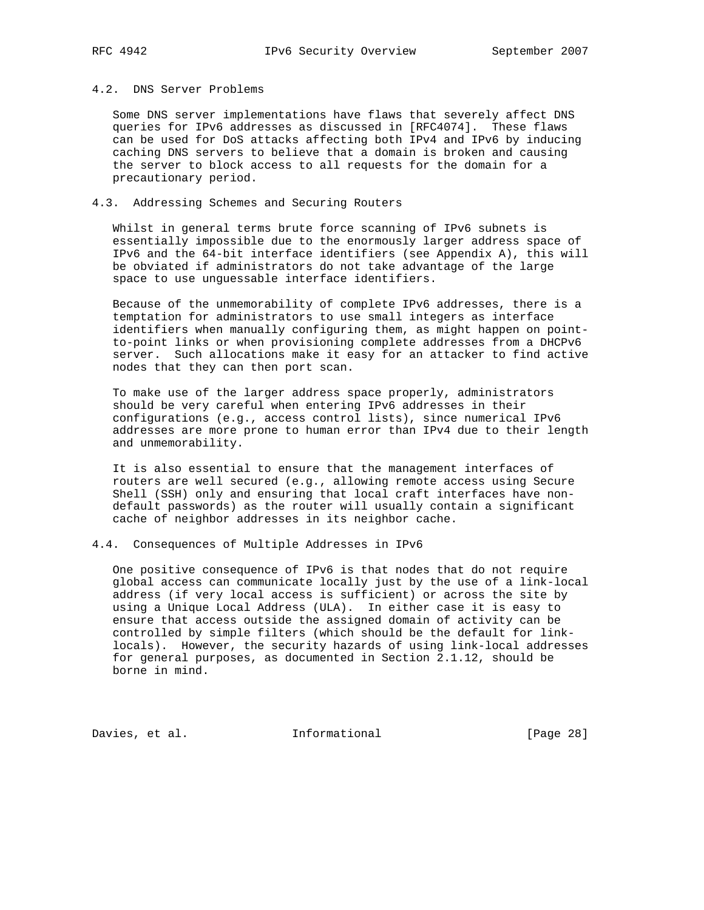## 4.2. DNS Server Problems

 Some DNS server implementations have flaws that severely affect DNS queries for IPv6 addresses as discussed in [RFC4074]. These flaws can be used for DoS attacks affecting both IPv4 and IPv6 by inducing caching DNS servers to believe that a domain is broken and causing the server to block access to all requests for the domain for a precautionary period.

## 4.3. Addressing Schemes and Securing Routers

 Whilst in general terms brute force scanning of IPv6 subnets is essentially impossible due to the enormously larger address space of IPv6 and the 64-bit interface identifiers (see Appendix A), this will be obviated if administrators do not take advantage of the large space to use unguessable interface identifiers.

 Because of the unmemorability of complete IPv6 addresses, there is a temptation for administrators to use small integers as interface identifiers when manually configuring them, as might happen on point to-point links or when provisioning complete addresses from a DHCPv6 server. Such allocations make it easy for an attacker to find active nodes that they can then port scan.

 To make use of the larger address space properly, administrators should be very careful when entering IPv6 addresses in their configurations (e.g., access control lists), since numerical IPv6 addresses are more prone to human error than IPv4 due to their length and unmemorability.

 It is also essential to ensure that the management interfaces of routers are well secured (e.g., allowing remote access using Secure Shell (SSH) only and ensuring that local craft interfaces have non default passwords) as the router will usually contain a significant cache of neighbor addresses in its neighbor cache.

#### 4.4. Consequences of Multiple Addresses in IPv6

 One positive consequence of IPv6 is that nodes that do not require global access can communicate locally just by the use of a link-local address (if very local access is sufficient) or across the site by using a Unique Local Address (ULA). In either case it is easy to ensure that access outside the assigned domain of activity can be controlled by simple filters (which should be the default for link locals). However, the security hazards of using link-local addresses for general purposes, as documented in Section 2.1.12, should be borne in mind.

Davies, et al. 1nformational [Page 28]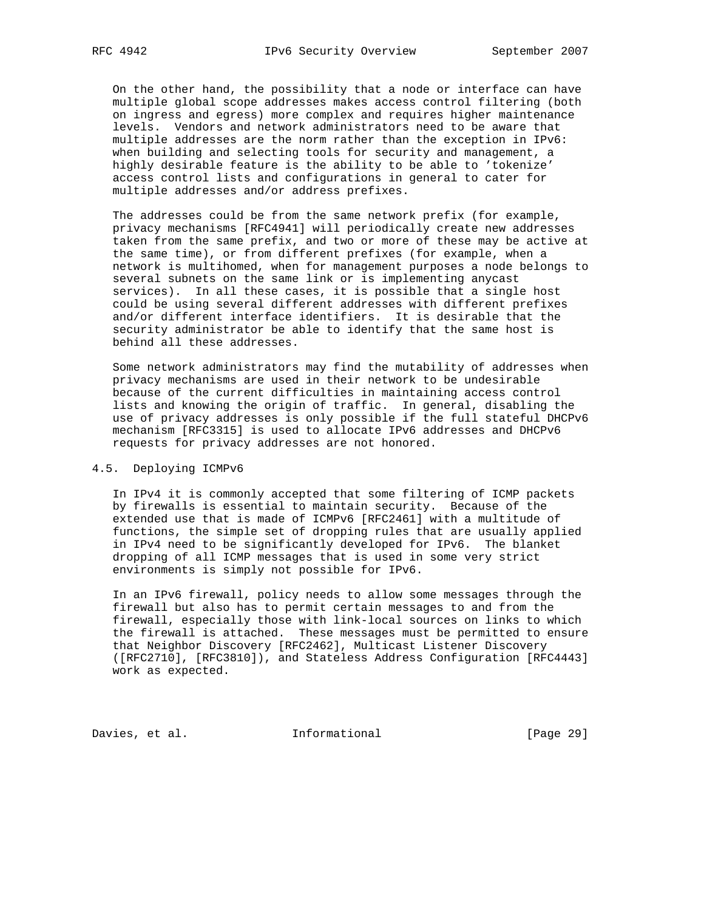On the other hand, the possibility that a node or interface can have multiple global scope addresses makes access control filtering (both on ingress and egress) more complex and requires higher maintenance levels. Vendors and network administrators need to be aware that multiple addresses are the norm rather than the exception in IPv6: when building and selecting tools for security and management, a highly desirable feature is the ability to be able to 'tokenize' access control lists and configurations in general to cater for multiple addresses and/or address prefixes.

 The addresses could be from the same network prefix (for example, privacy mechanisms [RFC4941] will periodically create new addresses taken from the same prefix, and two or more of these may be active at the same time), or from different prefixes (for example, when a network is multihomed, when for management purposes a node belongs to several subnets on the same link or is implementing anycast services). In all these cases, it is possible that a single host could be using several different addresses with different prefixes and/or different interface identifiers. It is desirable that the security administrator be able to identify that the same host is behind all these addresses.

 Some network administrators may find the mutability of addresses when privacy mechanisms are used in their network to be undesirable because of the current difficulties in maintaining access control lists and knowing the origin of traffic. In general, disabling the use of privacy addresses is only possible if the full stateful DHCPv6 mechanism [RFC3315] is used to allocate IPv6 addresses and DHCPv6 requests for privacy addresses are not honored.

#### 4.5. Deploying ICMPv6

 In IPv4 it is commonly accepted that some filtering of ICMP packets by firewalls is essential to maintain security. Because of the extended use that is made of ICMPv6 [RFC2461] with a multitude of functions, the simple set of dropping rules that are usually applied in IPv4 need to be significantly developed for IPv6. The blanket dropping of all ICMP messages that is used in some very strict environments is simply not possible for IPv6.

 In an IPv6 firewall, policy needs to allow some messages through the firewall but also has to permit certain messages to and from the firewall, especially those with link-local sources on links to which the firewall is attached. These messages must be permitted to ensure that Neighbor Discovery [RFC2462], Multicast Listener Discovery ([RFC2710], [RFC3810]), and Stateless Address Configuration [RFC4443] work as expected.

Davies, et al. 1nformational [Page 29]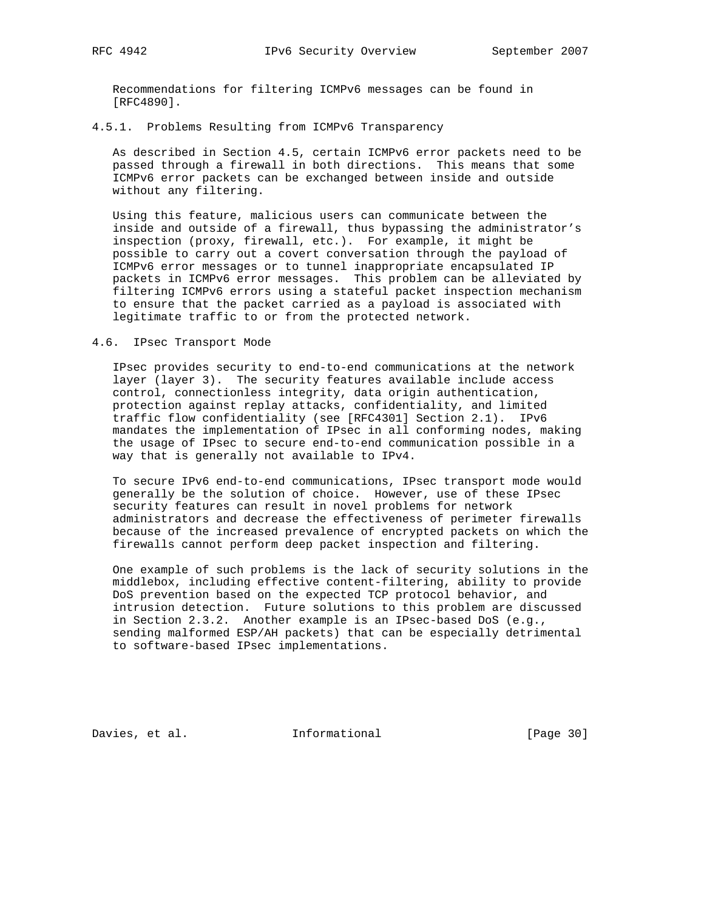Recommendations for filtering ICMPv6 messages can be found in [RFC4890].

## 4.5.1. Problems Resulting from ICMPv6 Transparency

 As described in Section 4.5, certain ICMPv6 error packets need to be passed through a firewall in both directions. This means that some ICMPv6 error packets can be exchanged between inside and outside without any filtering.

 Using this feature, malicious users can communicate between the inside and outside of a firewall, thus bypassing the administrator's inspection (proxy, firewall, etc.). For example, it might be possible to carry out a covert conversation through the payload of ICMPv6 error messages or to tunnel inappropriate encapsulated IP packets in ICMPv6 error messages. This problem can be alleviated by filtering ICMPv6 errors using a stateful packet inspection mechanism to ensure that the packet carried as a payload is associated with legitimate traffic to or from the protected network.

## 4.6. IPsec Transport Mode

 IPsec provides security to end-to-end communications at the network layer (layer 3). The security features available include access control, connectionless integrity, data origin authentication, protection against replay attacks, confidentiality, and limited traffic flow confidentiality (see [RFC4301] Section 2.1). IPv6 mandates the implementation of IPsec in all conforming nodes, making the usage of IPsec to secure end-to-end communication possible in a way that is generally not available to IPv4.

 To secure IPv6 end-to-end communications, IPsec transport mode would generally be the solution of choice. However, use of these IPsec security features can result in novel problems for network administrators and decrease the effectiveness of perimeter firewalls because of the increased prevalence of encrypted packets on which the firewalls cannot perform deep packet inspection and filtering.

 One example of such problems is the lack of security solutions in the middlebox, including effective content-filtering, ability to provide DoS prevention based on the expected TCP protocol behavior, and intrusion detection. Future solutions to this problem are discussed in Section 2.3.2. Another example is an IPsec-based DoS (e.g., sending malformed ESP/AH packets) that can be especially detrimental to software-based IPsec implementations.

Davies, et al. 1nformational [Page 30]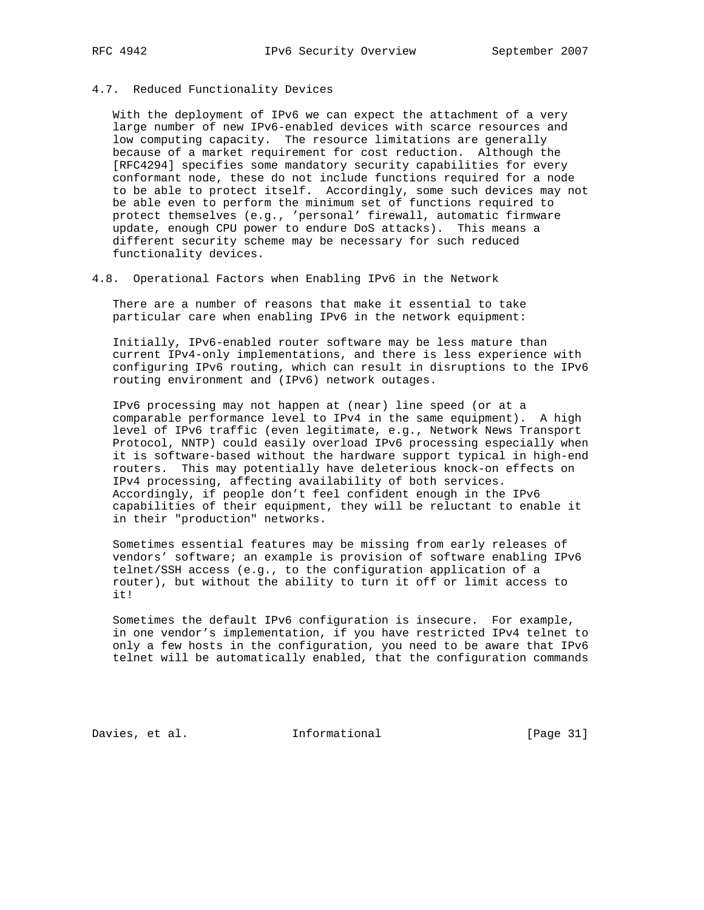#### 4.7. Reduced Functionality Devices

 With the deployment of IPv6 we can expect the attachment of a very large number of new IPv6-enabled devices with scarce resources and low computing capacity. The resource limitations are generally because of a market requirement for cost reduction. Although the [RFC4294] specifies some mandatory security capabilities for every conformant node, these do not include functions required for a node to be able to protect itself. Accordingly, some such devices may not be able even to perform the minimum set of functions required to protect themselves (e.g., 'personal' firewall, automatic firmware update, enough CPU power to endure DoS attacks). This means a different security scheme may be necessary for such reduced functionality devices.

## 4.8. Operational Factors when Enabling IPv6 in the Network

 There are a number of reasons that make it essential to take particular care when enabling IPv6 in the network equipment:

 Initially, IPv6-enabled router software may be less mature than current IPv4-only implementations, and there is less experience with configuring IPv6 routing, which can result in disruptions to the IPv6 routing environment and (IPv6) network outages.

 IPv6 processing may not happen at (near) line speed (or at a comparable performance level to IPv4 in the same equipment). A high level of IPv6 traffic (even legitimate, e.g., Network News Transport Protocol, NNTP) could easily overload IPv6 processing especially when it is software-based without the hardware support typical in high-end routers. This may potentially have deleterious knock-on effects on IPv4 processing, affecting availability of both services. Accordingly, if people don't feel confident enough in the IPv6 capabilities of their equipment, they will be reluctant to enable it in their "production" networks.

 Sometimes essential features may be missing from early releases of vendors' software; an example is provision of software enabling IPv6 telnet/SSH access (e.g., to the configuration application of a router), but without the ability to turn it off or limit access to it!

 Sometimes the default IPv6 configuration is insecure. For example, in one vendor's implementation, if you have restricted IPv4 telnet to only a few hosts in the configuration, you need to be aware that IPv6 telnet will be automatically enabled, that the configuration commands

Davies, et al. 1nformational 1999 [Page 31]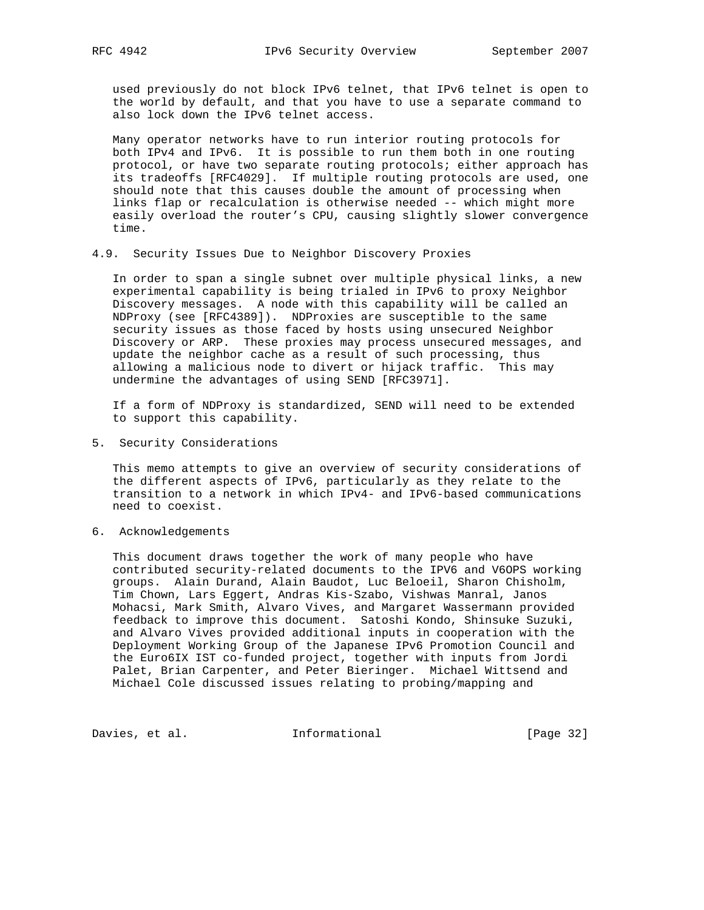used previously do not block IPv6 telnet, that IPv6 telnet is open to the world by default, and that you have to use a separate command to also lock down the IPv6 telnet access.

 Many operator networks have to run interior routing protocols for both IPv4 and IPv6. It is possible to run them both in one routing protocol, or have two separate routing protocols; either approach has its tradeoffs [RFC4029]. If multiple routing protocols are used, one should note that this causes double the amount of processing when links flap or recalculation is otherwise needed -- which might more easily overload the router's CPU, causing slightly slower convergence time.

4.9. Security Issues Due to Neighbor Discovery Proxies

 In order to span a single subnet over multiple physical links, a new experimental capability is being trialed in IPv6 to proxy Neighbor Discovery messages. A node with this capability will be called an NDProxy (see [RFC4389]). NDProxies are susceptible to the same security issues as those faced by hosts using unsecured Neighbor Discovery or ARP. These proxies may process unsecured messages, and update the neighbor cache as a result of such processing, thus allowing a malicious node to divert or hijack traffic. This may undermine the advantages of using SEND [RFC3971].

 If a form of NDProxy is standardized, SEND will need to be extended to support this capability.

5. Security Considerations

 This memo attempts to give an overview of security considerations of the different aspects of IPv6, particularly as they relate to the transition to a network in which IPv4- and IPv6-based communications need to coexist.

6. Acknowledgements

 This document draws together the work of many people who have contributed security-related documents to the IPV6 and V6OPS working groups. Alain Durand, Alain Baudot, Luc Beloeil, Sharon Chisholm, Tim Chown, Lars Eggert, Andras Kis-Szabo, Vishwas Manral, Janos Mohacsi, Mark Smith, Alvaro Vives, and Margaret Wassermann provided feedback to improve this document. Satoshi Kondo, Shinsuke Suzuki, and Alvaro Vives provided additional inputs in cooperation with the Deployment Working Group of the Japanese IPv6 Promotion Council and the Euro6IX IST co-funded project, together with inputs from Jordi Palet, Brian Carpenter, and Peter Bieringer. Michael Wittsend and Michael Cole discussed issues relating to probing/mapping and

Davies, et al. 1nformational 1999 [Page 32]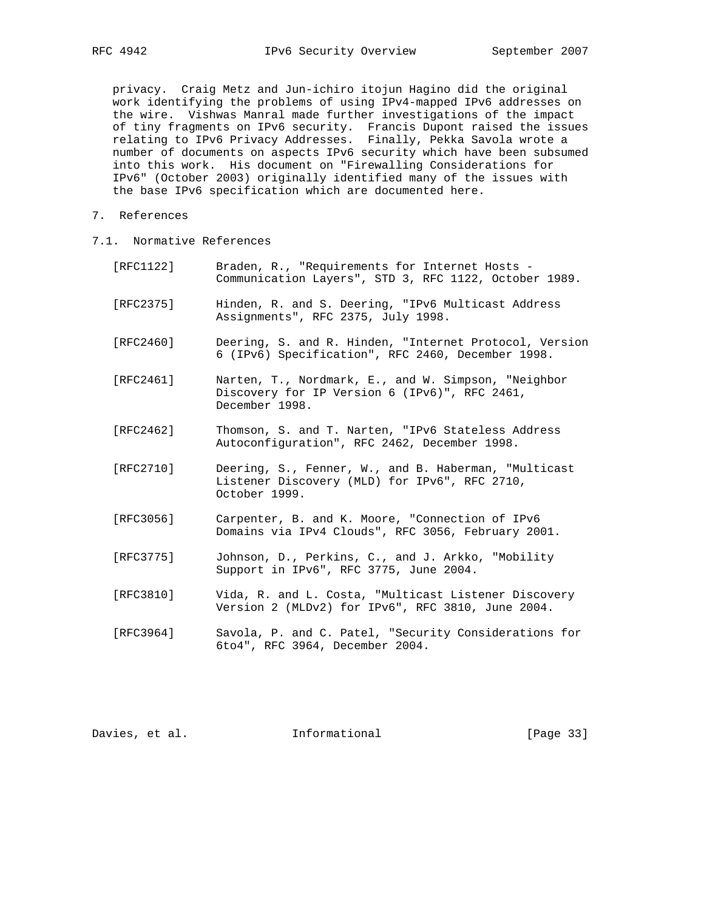privacy. Craig Metz and Jun-ichiro itojun Hagino did the original work identifying the problems of using IPv4-mapped IPv6 addresses on the wire. Vishwas Manral made further investigations of the impact of tiny fragments on IPv6 security. Francis Dupont raised the issues relating to IPv6 Privacy Addresses. Finally, Pekka Savola wrote a number of documents on aspects IPv6 security which have been subsumed into this work. His document on "Firewalling Considerations for IPv6" (October 2003) originally identified many of the issues with the base IPv6 specification which are documented here.

- 7. References
- 7.1. Normative References

| [RFC1122] | Braden, R., "Requirements for Internet Hosts -<br>Communication Layers", STD 3, RFC 1122, October 1989.                |
|-----------|------------------------------------------------------------------------------------------------------------------------|
| [RTC2375] | Hinden, R. and S. Deering, "IPv6 Multicast Address<br>Assignments", RFC 2375, July 1998.                               |
| [RFC2460] | Deering, S. and R. Hinden, "Internet Protocol, Version<br>6 (IPv6) Specification", RFC 2460, December 1998.            |
| [RFC2461] | Narten, T., Nordmark, E., and W. Simpson, "Neighbor<br>Discovery for IP Version 6 (IPv6)", RFC 2461,<br>December 1998. |
| [RFC2462] | Thomson, S. and T. Narten, "IPv6 Stateless Address"<br>Autoconfiguration", RFC 2462, December 1998.                    |
| [RFC2710] | Deering, S., Fenner, W., and B. Haberman, "Multicast<br>Listener Discovery (MLD) for IPv6", RFC 2710,<br>October 1999. |
| [RFC3056] | Carpenter, B. and K. Moore, "Connection of IPv6<br>Domains via IPv4 Clouds", RFC 3056, February 2001.                  |
| [RFC3775] | Johnson, D., Perkins, C., and J. Arkko, "Mobility<br>Support in IPv6", RFC 3775, June 2004.                            |
| [RFC3810] | Vida, R. and L. Costa, "Multicast Listener Discovery<br>Version 2 (MLDv2) for IPv6", RFC 3810, June 2004.              |

 [RFC3964] Savola, P. and C. Patel, "Security Considerations for 6to4", RFC 3964, December 2004.

Davies, et al. 1nformational [Page 33]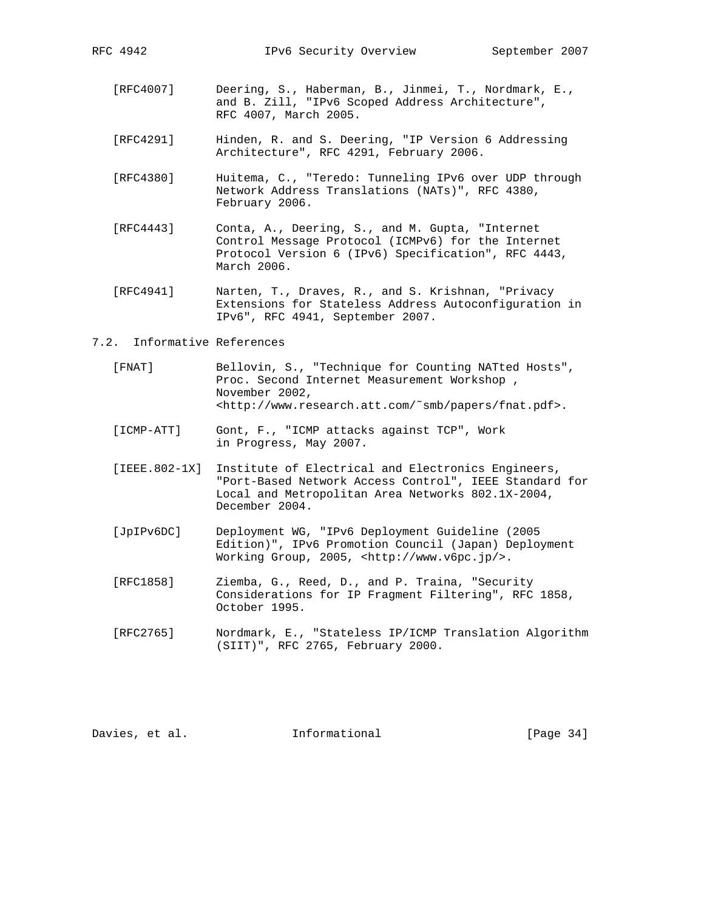- [RFC4007] Deering, S., Haberman, B., Jinmei, T., Nordmark, E., and B. Zill, "IPv6 Scoped Address Architecture", RFC 4007, March 2005.
- [RFC4291] Hinden, R. and S. Deering, "IP Version 6 Addressing Architecture", RFC 4291, February 2006.
- [RFC4380] Huitema, C., "Teredo: Tunneling IPv6 over UDP through Network Address Translations (NATs)", RFC 4380, February 2006.
- [RFC4443] Conta, A., Deering, S., and M. Gupta, "Internet Control Message Protocol (ICMPv6) for the Internet Protocol Version 6 (IPv6) Specification", RFC 4443, March 2006.
- [RFC4941] Narten, T., Draves, R., and S. Krishnan, "Privacy Extensions for Stateless Address Autoconfiguration in IPv6", RFC 4941, September 2007.

#### 7.2. Informative References

- [FNAT] Bellovin, S., "Technique for Counting NATted Hosts", Proc. Second Internet Measurement Workshop , November 2002, <http://www.research.att.com/˜smb/papers/fnat.pdf>.
- [ICMP-ATT] Gont, F., "ICMP attacks against TCP", Work in Progress, May 2007.
- [IEEE.802-1X] Institute of Electrical and Electronics Engineers, "Port-Based Network Access Control", IEEE Standard for Local and Metropolitan Area Networks 802.1X-2004, December 2004.
- [JpIPv6DC] Deployment WG, "IPv6 Deployment Guideline (2005 Edition)", IPv6 Promotion Council (Japan) Deployment Working Group, 2005, <http://www.v6pc.jp/>.
- [RFC1858] Ziemba, G., Reed, D., and P. Traina, "Security Considerations for IP Fragment Filtering", RFC 1858, October 1995.
- [RFC2765] Nordmark, E., "Stateless IP/ICMP Translation Algorithm (SIIT)", RFC 2765, February 2000.

Davies, et al. **Informational** [Page 34]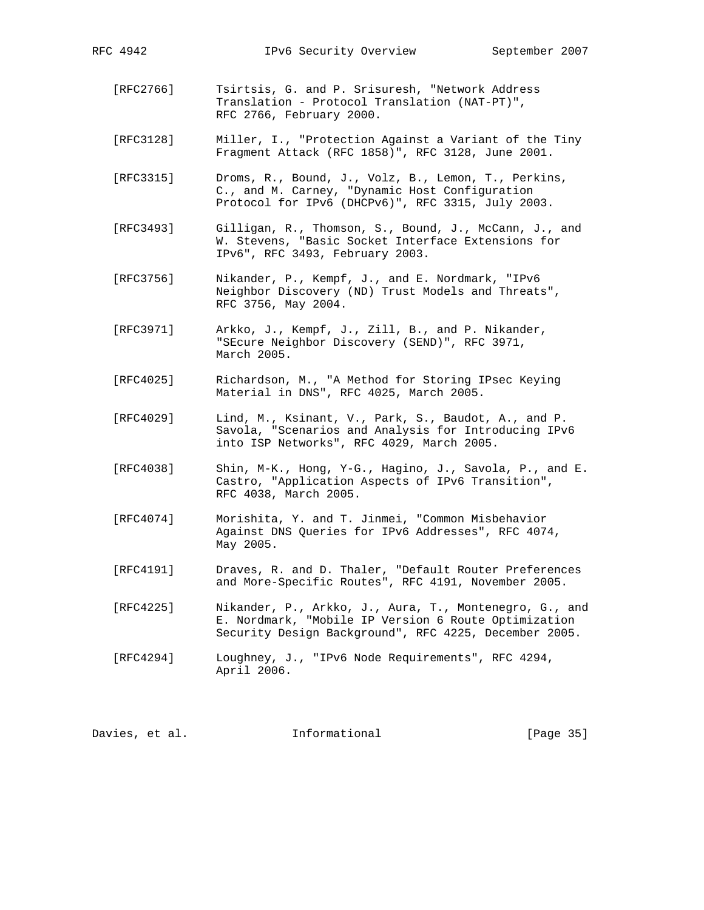RFC 4942 IPv6 Security Overview September 2007

- [RFC2766] Tsirtsis, G. and P. Srisuresh, "Network Address Translation - Protocol Translation (NAT-PT)", RFC 2766, February 2000.
- [RFC3128] Miller, I., "Protection Against a Variant of the Tiny Fragment Attack (RFC 1858)", RFC 3128, June 2001.
- [RFC3315] Droms, R., Bound, J., Volz, B., Lemon, T., Perkins, C., and M. Carney, "Dynamic Host Configuration Protocol for IPv6 (DHCPv6)", RFC 3315, July 2003.
- [RFC3493] Gilligan, R., Thomson, S., Bound, J., McCann, J., and W. Stevens, "Basic Socket Interface Extensions for IPv6", RFC 3493, February 2003.
- [RFC3756] Nikander, P., Kempf, J., and E. Nordmark, "IPv6 Neighbor Discovery (ND) Trust Models and Threats", RFC 3756, May 2004.
- [RFC3971] Arkko, J., Kempf, J., Zill, B., and P. Nikander, "SEcure Neighbor Discovery (SEND)", RFC 3971, March 2005.
- [RFC4025] Richardson, M., "A Method for Storing IPsec Keying Material in DNS", RFC 4025, March 2005.
- [RFC4029] Lind, M., Ksinant, V., Park, S., Baudot, A., and P. Savola, "Scenarios and Analysis for Introducing IPv6 into ISP Networks", RFC 4029, March 2005.
- [RFC4038] Shin, M-K., Hong, Y-G., Hagino, J., Savola, P., and E. Castro, "Application Aspects of IPv6 Transition", RFC 4038, March 2005.
- [RFC4074] Morishita, Y. and T. Jinmei, "Common Misbehavior Against DNS Queries for IPv6 Addresses", RFC 4074, May 2005.
- [RFC4191] Draves, R. and D. Thaler, "Default Router Preferences and More-Specific Routes", RFC 4191, November 2005.
	- [RFC4225] Nikander, P., Arkko, J., Aura, T., Montenegro, G., and E. Nordmark, "Mobile IP Version 6 Route Optimization Security Design Background", RFC 4225, December 2005.
	- [RFC4294] Loughney, J., "IPv6 Node Requirements", RFC 4294, April 2006.

Davies, et al. **Informational** [Page 35]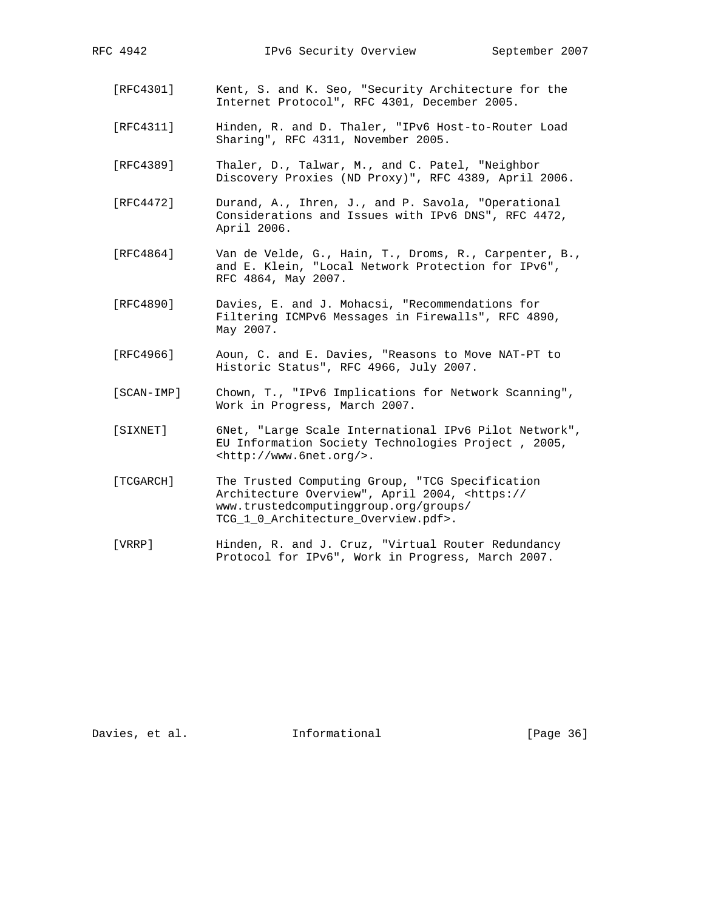- [RFC4301] Kent, S. and K. Seo, "Security Architecture for the Internet Protocol", RFC 4301, December 2005.
- [RFC4311] Hinden, R. and D. Thaler, "IPv6 Host-to-Router Load Sharing", RFC 4311, November 2005.
- [RFC4389] Thaler, D., Talwar, M., and C. Patel, "Neighbor Discovery Proxies (ND Proxy)", RFC 4389, April 2006.
- [RFC4472] Durand, A., Ihren, J., and P. Savola, "Operational Considerations and Issues with IPv6 DNS", RFC 4472, April 2006.
- [RFC4864] Van de Velde, G., Hain, T., Droms, R., Carpenter, B., and E. Klein, "Local Network Protection for IPv6", RFC 4864, May 2007.
- [RFC4890] Davies, E. and J. Mohacsi, "Recommendations for Filtering ICMPv6 Messages in Firewalls", RFC 4890, May 2007.
- [RFC4966] Aoun, C. and E. Davies, "Reasons to Move NAT-PT to Historic Status", RFC 4966, July 2007.
- [SCAN-IMP] Chown, T., "IPv6 Implications for Network Scanning", Work in Progress, March 2007.
- [SIXNET] 6Net, "Large Scale International IPv6 Pilot Network", EU Information Society Technologies Project , 2005, <http://www.6net.org/>.
- [TCGARCH] The Trusted Computing Group, "TCG Specification Architecture Overview", April 2004, <https:// www.trustedcomputinggroup.org/groups/ TCG\_1\_0\_Architecture\_Overview.pdf>.
- [VRRP] Hinden, R. and J. Cruz, "Virtual Router Redundancy Protocol for IPv6", Work in Progress, March 2007.

Davies, et al. **Informational** [Page 36]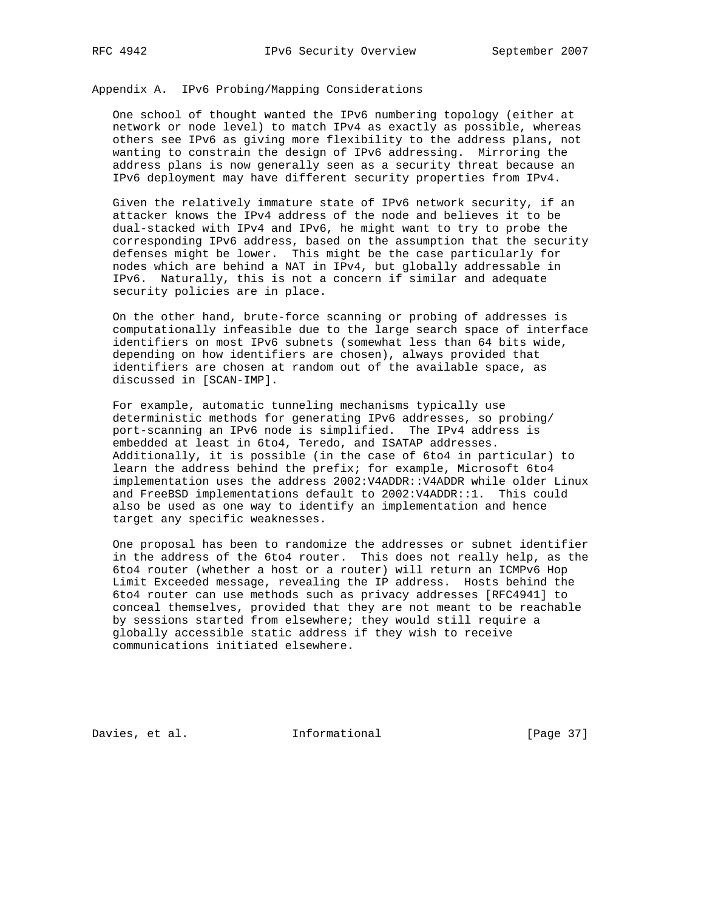## Appendix A. IPv6 Probing/Mapping Considerations

 One school of thought wanted the IPv6 numbering topology (either at network or node level) to match IPv4 as exactly as possible, whereas others see IPv6 as giving more flexibility to the address plans, not wanting to constrain the design of IPv6 addressing. Mirroring the address plans is now generally seen as a security threat because an IPv6 deployment may have different security properties from IPv4.

 Given the relatively immature state of IPv6 network security, if an attacker knows the IPv4 address of the node and believes it to be dual-stacked with IPv4 and IPv6, he might want to try to probe the corresponding IPv6 address, based on the assumption that the security defenses might be lower. This might be the case particularly for nodes which are behind a NAT in IPv4, but globally addressable in IPv6. Naturally, this is not a concern if similar and adequate security policies are in place.

 On the other hand, brute-force scanning or probing of addresses is computationally infeasible due to the large search space of interface identifiers on most IPv6 subnets (somewhat less than 64 bits wide, depending on how identifiers are chosen), always provided that identifiers are chosen at random out of the available space, as discussed in [SCAN-IMP].

 For example, automatic tunneling mechanisms typically use deterministic methods for generating IPv6 addresses, so probing/ port-scanning an IPv6 node is simplified. The IPv4 address is embedded at least in 6to4, Teredo, and ISATAP addresses. Additionally, it is possible (in the case of 6to4 in particular) to learn the address behind the prefix; for example, Microsoft 6to4 implementation uses the address 2002:V4ADDR::V4ADDR while older Linux and FreeBSD implementations default to 2002:V4ADDR::1. This could also be used as one way to identify an implementation and hence target any specific weaknesses.

 One proposal has been to randomize the addresses or subnet identifier in the address of the 6to4 router. This does not really help, as the 6to4 router (whether a host or a router) will return an ICMPv6 Hop Limit Exceeded message, revealing the IP address. Hosts behind the 6to4 router can use methods such as privacy addresses [RFC4941] to conceal themselves, provided that they are not meant to be reachable by sessions started from elsewhere; they would still require a globally accessible static address if they wish to receive communications initiated elsewhere.

Davies, et al. **Informational** [Page 37]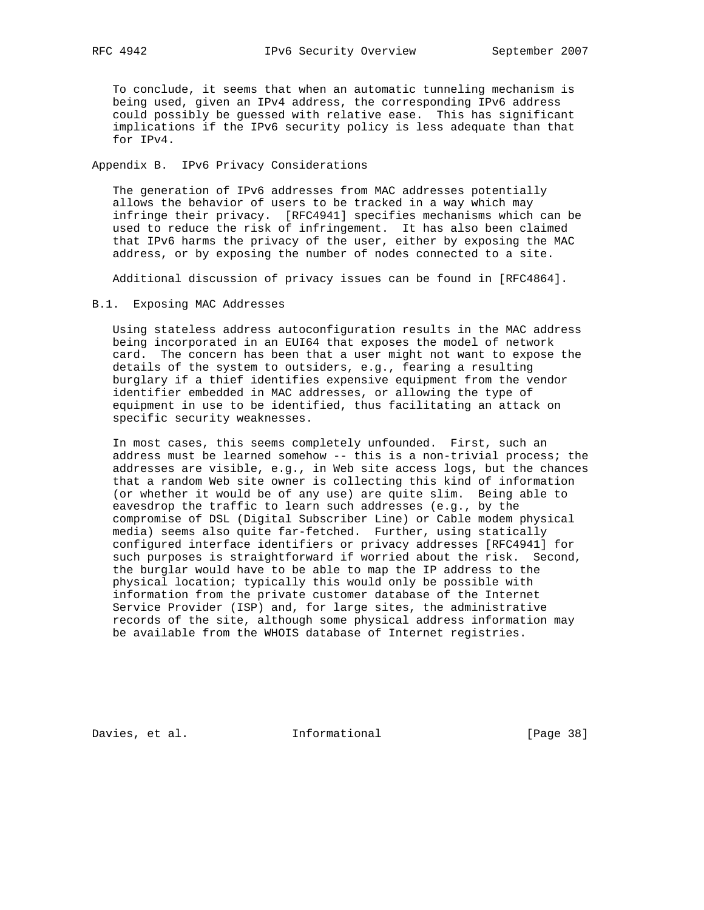To conclude, it seems that when an automatic tunneling mechanism is being used, given an IPv4 address, the corresponding IPv6 address could possibly be guessed with relative ease. This has significant implications if the IPv6 security policy is less adequate than that for IPv4.

Appendix B. IPv6 Privacy Considerations

 The generation of IPv6 addresses from MAC addresses potentially allows the behavior of users to be tracked in a way which may infringe their privacy. [RFC4941] specifies mechanisms which can be used to reduce the risk of infringement. It has also been claimed that IPv6 harms the privacy of the user, either by exposing the MAC address, or by exposing the number of nodes connected to a site.

Additional discussion of privacy issues can be found in [RFC4864].

#### B.1. Exposing MAC Addresses

 Using stateless address autoconfiguration results in the MAC address being incorporated in an EUI64 that exposes the model of network card. The concern has been that a user might not want to expose the details of the system to outsiders, e.g., fearing a resulting burglary if a thief identifies expensive equipment from the vendor identifier embedded in MAC addresses, or allowing the type of equipment in use to be identified, thus facilitating an attack on specific security weaknesses.

 In most cases, this seems completely unfounded. First, such an address must be learned somehow -- this is a non-trivial process; the addresses are visible, e.g., in Web site access logs, but the chances that a random Web site owner is collecting this kind of information (or whether it would be of any use) are quite slim. Being able to eavesdrop the traffic to learn such addresses (e.g., by the compromise of DSL (Digital Subscriber Line) or Cable modem physical media) seems also quite far-fetched. Further, using statically configured interface identifiers or privacy addresses [RFC4941] for such purposes is straightforward if worried about the risk. Second, the burglar would have to be able to map the IP address to the physical location; typically this would only be possible with information from the private customer database of the Internet Service Provider (ISP) and, for large sites, the administrative records of the site, although some physical address information may be available from the WHOIS database of Internet registries.

Davies, et al. 1nformational 1999 [Page 38]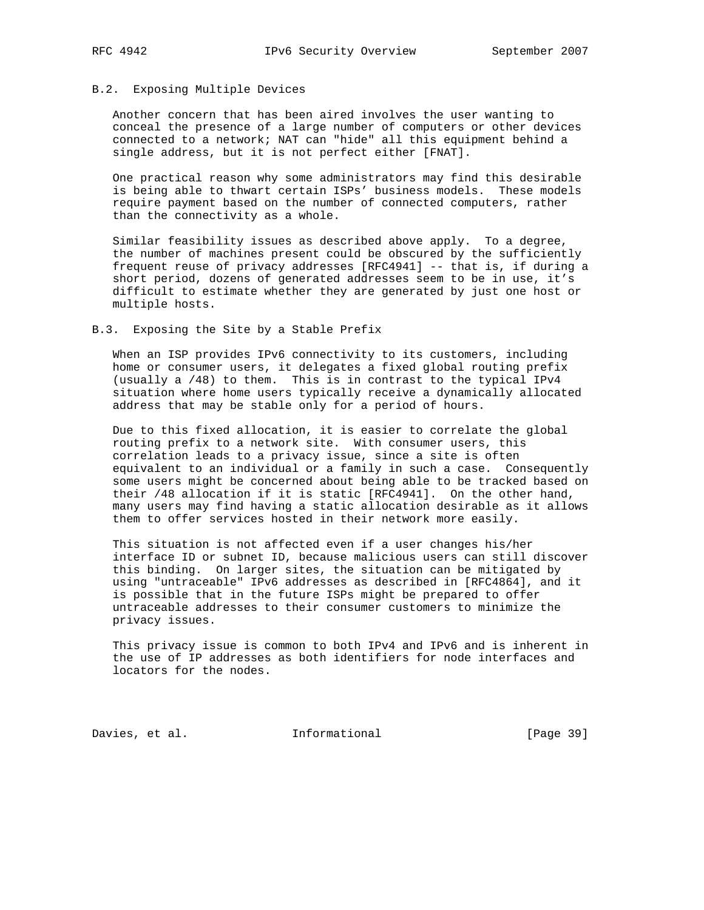#### B.2. Exposing Multiple Devices

 Another concern that has been aired involves the user wanting to conceal the presence of a large number of computers or other devices connected to a network; NAT can "hide" all this equipment behind a single address, but it is not perfect either [FNAT].

 One practical reason why some administrators may find this desirable is being able to thwart certain ISPs' business models. These models require payment based on the number of connected computers, rather than the connectivity as a whole.

 Similar feasibility issues as described above apply. To a degree, the number of machines present could be obscured by the sufficiently frequent reuse of privacy addresses [RFC4941] -- that is, if during a short period, dozens of generated addresses seem to be in use, it's difficult to estimate whether they are generated by just one host or multiple hosts.

## B.3. Exposing the Site by a Stable Prefix

 When an ISP provides IPv6 connectivity to its customers, including home or consumer users, it delegates a fixed global routing prefix (usually a /48) to them. This is in contrast to the typical IPv4 situation where home users typically receive a dynamically allocated address that may be stable only for a period of hours.

 Due to this fixed allocation, it is easier to correlate the global routing prefix to a network site. With consumer users, this correlation leads to a privacy issue, since a site is often equivalent to an individual or a family in such a case. Consequently some users might be concerned about being able to be tracked based on their /48 allocation if it is static [RFC4941]. On the other hand, many users may find having a static allocation desirable as it allows them to offer services hosted in their network more easily.

 This situation is not affected even if a user changes his/her interface ID or subnet ID, because malicious users can still discover this binding. On larger sites, the situation can be mitigated by using "untraceable" IPv6 addresses as described in [RFC4864], and it is possible that in the future ISPs might be prepared to offer untraceable addresses to their consumer customers to minimize the privacy issues.

 This privacy issue is common to both IPv4 and IPv6 and is inherent in the use of IP addresses as both identifiers for node interfaces and locators for the nodes.

Davies, et al. 1nformational [Page 39]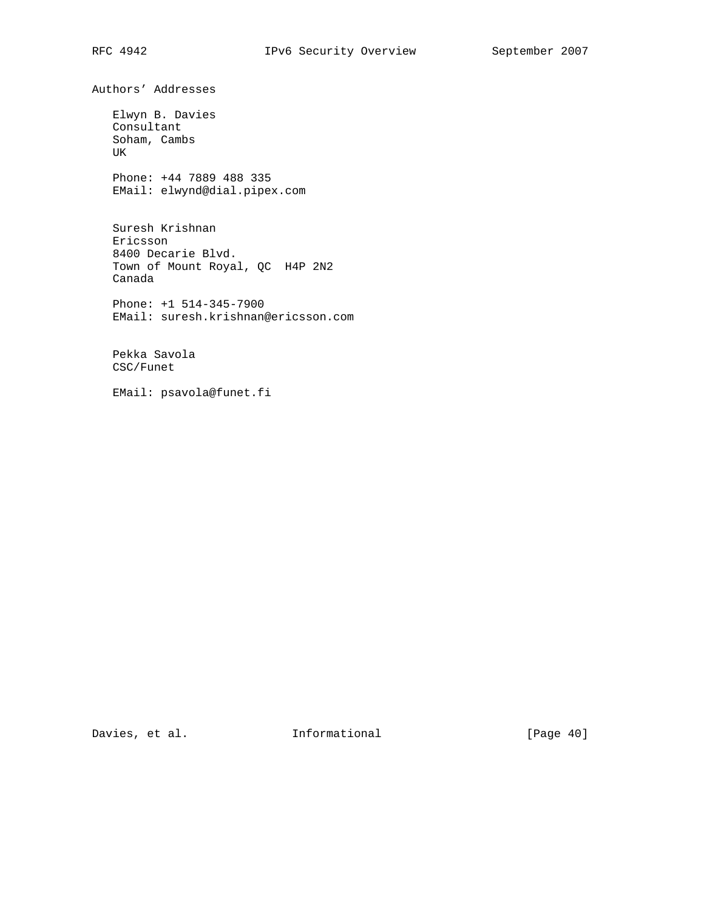Authors' Addresses

 Elwyn B. Davies Consultant Soham, Cambs UK

 Phone: +44 7889 488 335 EMail: elwynd@dial.pipex.com

 Suresh Krishnan Ericsson 8400 Decarie Blvd. Town of Mount Royal, QC H4P 2N2 Canada

 Phone: +1 514-345-7900 EMail: suresh.krishnan@ericsson.com

 Pekka Savola CSC/Funet

EMail: psavola@funet.fi

Davies, et al. 1nformational 1999 [Page 40]